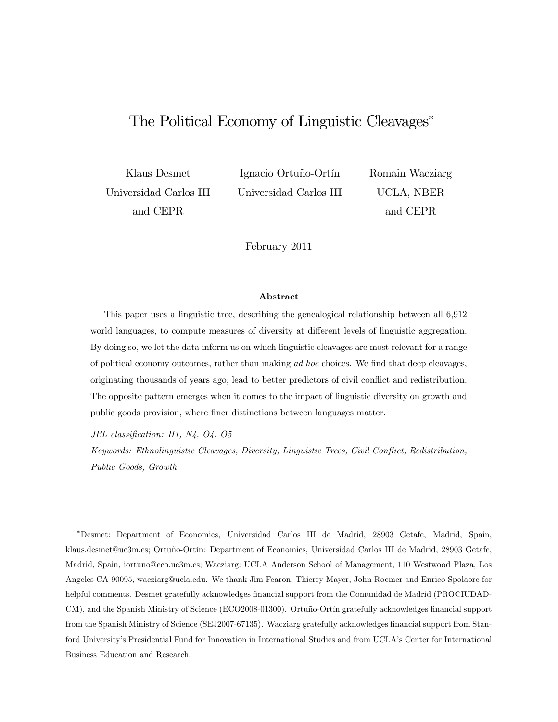# The Political Economy of Linguistic Cleavages<sup>∗</sup>

Klaus Desmet Universidad Carlos III and CEPR

Ignacio Ortuño-Ortín Universidad Carlos III Romain Wacziarg UCLA, NBER and CEPR

February 2011

#### Abstract

This paper uses a linguistic tree, describing the genealogical relationship between all 6,912 world languages, to compute measures of diversity at different levels of linguistic aggregation. By doing so, we let the data inform us on which linguistic cleavages are most relevant for a range of political economy outcomes, rather than making  $ad hoc$  choices. We find that deep cleavages, originating thousands of years ago, lead to better predictors of civil conflict and redistribution. The opposite pattern emerges when it comes to the impact of linguistic diversity on growth and public goods provision, where finer distinctions between languages matter.

JEL classification: H1, N4, O4, O5

Keywords: Ethnolinguistic Cleavages, Diversity, Linguistic Trees, Civil Conflict, Redistribution, Public Goods, Growth.

<sup>∗</sup>Desmet: Department of Economics, Universidad Carlos III de Madrid, 28903 Getafe, Madrid, Spain, klaus.desmet@uc3m.es; Ortuño-Ortín: Department of Economics, Universidad Carlos III de Madrid, 28903 Getafe, Madrid, Spain, iortuno@eco.uc3m.es; Wacziarg: UCLA Anderson School of Management, 110 Westwood Plaza, Los Angeles CA 90095, wacziarg@ucla.edu. We thank Jim Fearon, Thierry Mayer, John Roemer and Enrico Spolaore for helpful comments. Desmet gratefully acknowledges financial support from the Comunidad de Madrid (PROCIUDAD-CM), and the Spanish Ministry of Science (ECO2008-01300). Ortuño-Ortín gratefully acknowledges financial support from the Spanish Ministry of Science (SEJ2007-67135). Wacziarg gratefully acknowledges financial support from Stanford University's Presidential Fund for Innovation in International Studies and from UCLA's Center for International Business Education and Research.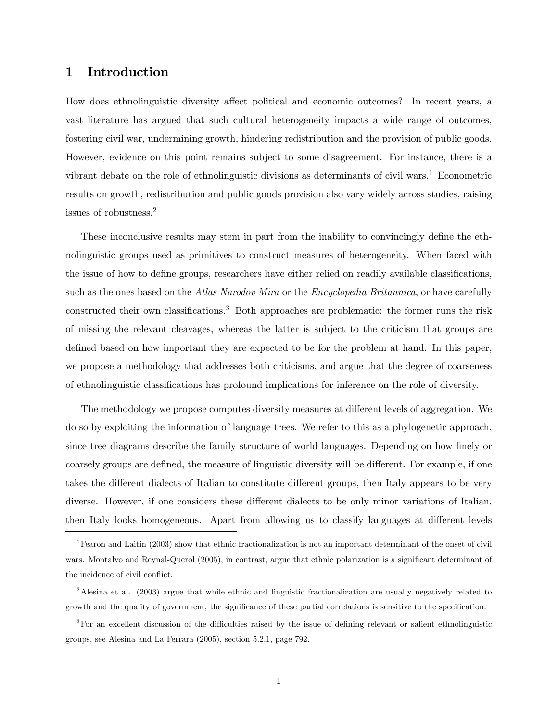# 1 Introduction

How does ethnolinguistic diversity affect political and economic outcomes? In recent years, a vast literature has argued that such cultural heterogeneity impacts a wide range of outcomes, fostering civil war, undermining growth, hindering redistribution and the provision of public goods. However, evidence on this point remains subject to some disagreement. For instance, there is a vibrant debate on the role of ethnolinguistic divisions as determinants of civil wars.<sup>1</sup> Econometric results on growth, redistribution and public goods provision also vary widely across studies, raising issues of robustness.2

These inconclusive results may stem in part from the inability to convincingly define the ethnolinguistic groups used as primitives to construct measures of heterogeneity. When faced with the issue of how to define groups, researchers have either relied on readily available classifications, such as the ones based on the Atlas Narodov Mira or the Encyclopedia Britannica, or have carefully constructed their own classifications.<sup>3</sup> Both approaches are problematic: the former runs the risk of missing the relevant cleavages, whereas the latter is subject to the criticism that groups are defined based on how important they are expected to be for the problem at hand. In this paper, we propose a methodology that addresses both criticisms, and argue that the degree of coarseness of ethnolinguistic classifications has profound implications for inference on the role of diversity.

The methodology we propose computes diversity measures at different levels of aggregation. We do so by exploiting the information of language trees. We refer to this as a phylogenetic approach, since tree diagrams describe the family structure of world languages. Depending on how finely or coarsely groups are defined, the measure of linguistic diversity will be different. For example, if one takes the different dialects of Italian to constitute different groups, then Italy appears to be very diverse. However, if one considers these different dialects to be only minor variations of Italian, then Italy looks homogeneous. Apart from allowing us to classify languages at different levels

<sup>1</sup>Fearon and Laitin (2003) show that ethnic fractionalization is not an important determinant of the onset of civil wars. Montalvo and Reynal-Querol (2005), in contrast, argue that ethnic polarization is a significant determinant of the incidence of civil conflict.

<sup>&</sup>lt;sup>2</sup>Alesina et al. (2003) argue that while ethnic and linguistic fractionalization are usually negatively related to growth and the quality of government, the significance of these partial correlations is sensitive to the specification.

<sup>3</sup>For an excellent discussion of the difficulties raised by the issue of defining relevant or salient ethnolinguistic groups, see Alesina and La Ferrara (2005), section 5.2.1, page 792.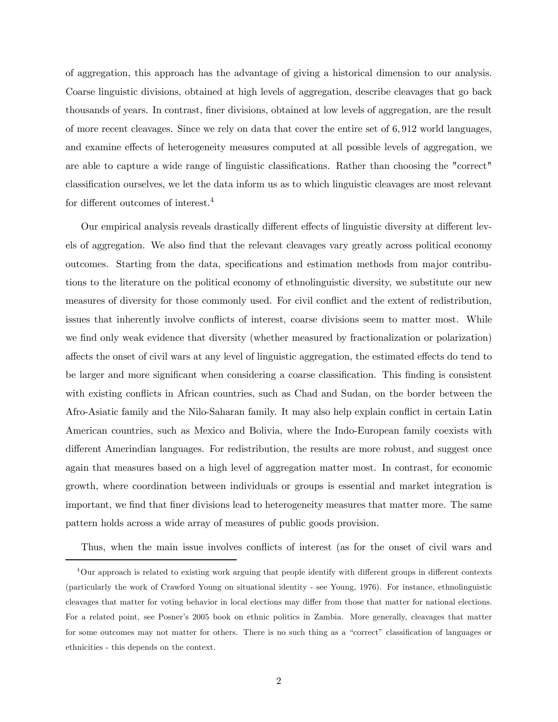of aggregation, this approach has the advantage of giving a historical dimension to our analysis. Coarse linguistic divisions, obtained at high levels of aggregation, describe cleavages that go back thousands of years. In contrast, finer divisions, obtained at low levels of aggregation, are the result of more recent cleavages. Since we rely on data that cover the entire set of 6, 912 world languages, and examine effects of heterogeneity measures computed at all possible levels of aggregation, we are able to capture a wide range of linguistic classifications. Rather than choosing the "correct" classification ourselves, we let the data inform us as to which linguistic cleavages are most relevant for different outcomes of interest.4

Our empirical analysis reveals drastically different effects of linguistic diversity at different levels of aggregation. We also find that the relevant cleavages vary greatly across political economy outcomes. Starting from the data, specifications and estimation methods from major contributions to the literature on the political economy of ethnolinguistic diversity, we substitute our new measures of diversity for those commonly used. For civil conflict and the extent of redistribution, issues that inherently involve conflicts of interest, coarse divisions seem to matter most. While we find only weak evidence that diversity (whether measured by fractionalization or polarization) affects the onset of civil wars at any level of linguistic aggregation, the estimated effects do tend to be larger and more significant when considering a coarse classification. This finding is consistent with existing conflicts in African countries, such as Chad and Sudan, on the border between the Afro-Asiatic family and the Nilo-Saharan family. It may also help explain conflict in certain Latin American countries, such as Mexico and Bolivia, where the Indo-European family coexists with different Amerindian languages. For redistribution, the results are more robust, and suggest once again that measures based on a high level of aggregation matter most. In contrast, for economic growth, where coordination between individuals or groups is essential and market integration is important, we find that finer divisions lead to heterogeneity measures that matter more. The same pattern holds across a wide array of measures of public goods provision.

Thus, when the main issue involves conflicts of interest (as for the onset of civil wars and

<sup>4</sup>Our approach is related to existing work arguing that people identify with different groups in different contexts (particularly the work of Crawford Young on situational identity - see Young, 1976). For instance, ethnolinguistic cleavages that matter for voting behavior in local elections may differ from those that matter for national elections. For a related point, see Posner's 2005 book on ethnic politics in Zambia. More generally, cleavages that matter for some outcomes may not matter for others. There is no such thing as a "correct" classification of languages or ethnicities - this depends on the context.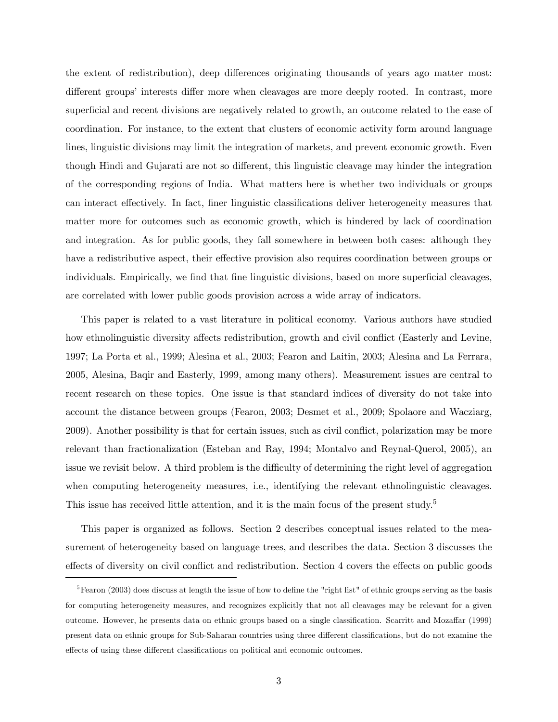the extent of redistribution), deep differences originating thousands of years ago matter most: different groups' interests differ more when cleavages are more deeply rooted. In contrast, more superficial and recent divisions are negatively related to growth, an outcome related to the ease of coordination. For instance, to the extent that clusters of economic activity form around language lines, linguistic divisions may limit the integration of markets, and prevent economic growth. Even though Hindi and Gujarati are not so different, this linguistic cleavage may hinder the integration of the corresponding regions of India. What matters here is whether two individuals or groups can interact effectively. In fact, finer linguistic classifications deliver heterogeneity measures that matter more for outcomes such as economic growth, which is hindered by lack of coordination and integration. As for public goods, they fall somewhere in between both cases: although they have a redistributive aspect, their effective provision also requires coordination between groups or individuals. Empirically, we find that fine linguistic divisions, based on more superficial cleavages, are correlated with lower public goods provision across a wide array of indicators.

This paper is related to a vast literature in political economy. Various authors have studied how ethnolinguistic diversity affects redistribution, growth and civil conflict (Easterly and Levine, 1997; La Porta et al., 1999; Alesina et al., 2003; Fearon and Laitin, 2003; Alesina and La Ferrara, 2005, Alesina, Baqir and Easterly, 1999, among many others). Measurement issues are central to recent research on these topics. One issue is that standard indices of diversity do not take into account the distance between groups (Fearon, 2003; Desmet et al., 2009; Spolaore and Wacziarg, 2009). Another possibility is that for certain issues, such as civil conflict, polarization may be more relevant than fractionalization (Esteban and Ray, 1994; Montalvo and Reynal-Querol, 2005), an issue we revisit below. A third problem is the difficulty of determining the right level of aggregation when computing heterogeneity measures, i.e., identifying the relevant ethnolinguistic cleavages. This issue has received little attention, and it is the main focus of the present study.<sup>5</sup>

This paper is organized as follows. Section 2 describes conceptual issues related to the measurement of heterogeneity based on language trees, and describes the data. Section 3 discusses the effects of diversity on civil conflict and redistribution. Section 4 covers the effects on public goods

 ${}^{5}$ Fearon (2003) does discuss at length the issue of how to define the "right list" of ethnic groups serving as the basis for computing heterogeneity measures, and recognizes explicitly that not all cleavages may be relevant for a given outcome. However, he presents data on ethnic groups based on a single classification. Scarritt and Mozaffar (1999) present data on ethnic groups for Sub-Saharan countries using three different classifications, but do not examine the effects of using these different classifications on political and economic outcomes.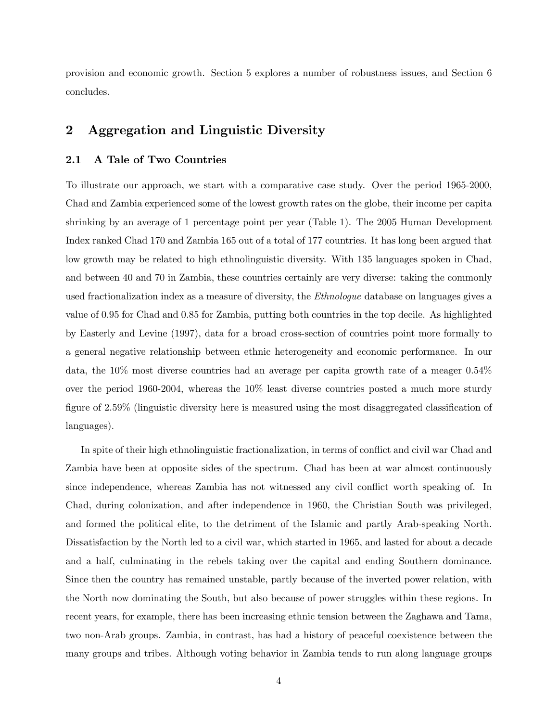provision and economic growth. Section 5 explores a number of robustness issues, and Section 6 concludes.

# 2 Aggregation and Linguistic Diversity

### 2.1 A Tale of Two Countries

To illustrate our approach, we start with a comparative case study. Over the period 1965-2000, Chad and Zambia experienced some of the lowest growth rates on the globe, their income per capita shrinking by an average of 1 percentage point per year (Table 1). The 2005 Human Development Index ranked Chad 170 and Zambia 165 out of a total of 177 countries. It has long been argued that low growth may be related to high ethnolinguistic diversity. With 135 languages spoken in Chad, and between 40 and 70 in Zambia, these countries certainly are very diverse: taking the commonly used fractionalization index as a measure of diversity, the *Ethnologue* database on languages gives a value of 0.95 for Chad and 0.85 for Zambia, putting both countries in the top decile. As highlighted by Easterly and Levine (1997), data for a broad cross-section of countries point more formally to a general negative relationship between ethnic heterogeneity and economic performance. In our data, the 10% most diverse countries had an average per capita growth rate of a meager 0.54% over the period 1960-2004, whereas the 10% least diverse countries posted a much more sturdy figure of 2.59% (linguistic diversity here is measured using the most disaggregated classification of languages).

In spite of their high ethnolinguistic fractionalization, in terms of conflict and civil war Chad and Zambia have been at opposite sides of the spectrum. Chad has been at war almost continuously since independence, whereas Zambia has not witnessed any civil conflict worth speaking of. In Chad, during colonization, and after independence in 1960, the Christian South was privileged, and formed the political elite, to the detriment of the Islamic and partly Arab-speaking North. Dissatisfaction by the North led to a civil war, which started in 1965, and lasted for about a decade and a half, culminating in the rebels taking over the capital and ending Southern dominance. Since then the country has remained unstable, partly because of the inverted power relation, with the North now dominating the South, but also because of power struggles within these regions. In recent years, for example, there has been increasing ethnic tension between the Zaghawa and Tama, two non-Arab groups. Zambia, in contrast, has had a history of peaceful coexistence between the many groups and tribes. Although voting behavior in Zambia tends to run along language groups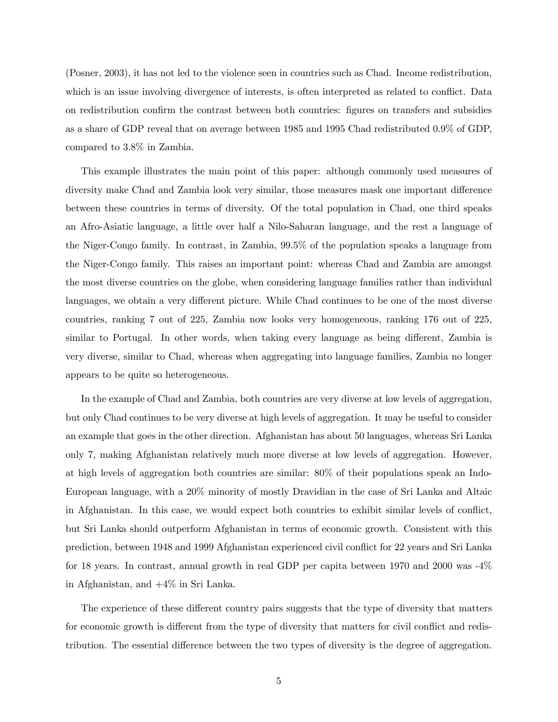(Posner, 2003), it has not led to the violence seen in countries such as Chad. Income redistribution, which is an issue involving divergence of interests, is often interpreted as related to conflict. Data on redistribution confirm the contrast between both countries: figures on transfers and subsidies as a share of GDP reveal that on average between 1985 and 1995 Chad redistributed 0.9% of GDP, compared to 3.8% in Zambia.

This example illustrates the main point of this paper: although commonly used measures of diversity make Chad and Zambia look very similar, those measures mask one important difference between these countries in terms of diversity. Of the total population in Chad, one third speaks an Afro-Asiatic language, a little over half a Nilo-Saharan language, and the rest a language of the Niger-Congo family. In contrast, in Zambia, 99.5% of the population speaks a language from the Niger-Congo family. This raises an important point: whereas Chad and Zambia are amongst the most diverse countries on the globe, when considering language families rather than individual languages, we obtain a very different picture. While Chad continues to be one of the most diverse countries, ranking 7 out of 225, Zambia now looks very homogeneous, ranking 176 out of 225, similar to Portugal. In other words, when taking every language as being different, Zambia is very diverse, similar to Chad, whereas when aggregating into language families, Zambia no longer appears to be quite so heterogeneous.

In the example of Chad and Zambia, both countries are very diverse at low levels of aggregation, but only Chad continues to be very diverse at high levels of aggregation. It may be useful to consider an example that goes in the other direction. Afghanistan has about 50 languages, whereas Sri Lanka only 7, making Afghanistan relatively much more diverse at low levels of aggregation. However, at high levels of aggregation both countries are similar: 80% of their populations speak an Indo-European language, with a 20% minority of mostly Dravidian in the case of Sri Lanka and Altaic in Afghanistan. In this case, we would expect both countries to exhibit similar levels of conflict, but Sri Lanka should outperform Afghanistan in terms of economic growth. Consistent with this prediction, between 1948 and 1999 Afghanistan experienced civil conflict for 22 years and Sri Lanka for 18 years. In contrast, annual growth in real GDP per capita between 1970 and 2000 was -4% in Afghanistan, and +4% in Sri Lanka.

The experience of these different country pairs suggests that the type of diversity that matters for economic growth is different from the type of diversity that matters for civil conflict and redistribution. The essential difference between the two types of diversity is the degree of aggregation.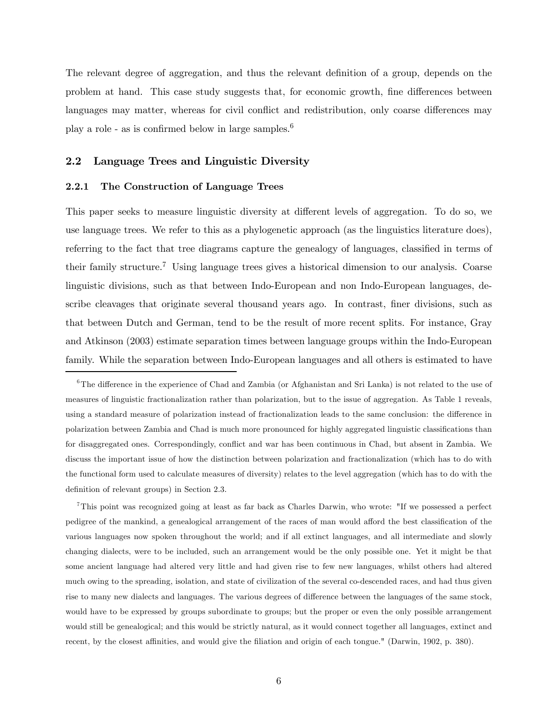The relevant degree of aggregation, and thus the relevant definition of a group, depends on the problem at hand. This case study suggests that, for economic growth, fine differences between languages may matter, whereas for civil conflict and redistribution, only coarse differences may play a role - as is confirmed below in large samples.6

#### 2.2 Language Trees and Linguistic Diversity

#### 2.2.1 The Construction of Language Trees

This paper seeks to measure linguistic diversity at different levels of aggregation. To do so, we use language trees. We refer to this as a phylogenetic approach (as the linguistics literature does), referring to the fact that tree diagrams capture the genealogy of languages, classified in terms of their family structure.<sup>7</sup> Using language trees gives a historical dimension to our analysis. Coarse linguistic divisions, such as that between Indo-European and non Indo-European languages, describe cleavages that originate several thousand years ago. In contrast, finer divisions, such as that between Dutch and German, tend to be the result of more recent splits. For instance, Gray and Atkinson (2003) estimate separation times between language groups within the Indo-European family. While the separation between Indo-European languages and all others is estimated to have

7This point was recognized going at least as far back as Charles Darwin, who wrote: "If we possessed a perfect pedigree of the mankind, a genealogical arrangement of the races of man would afford the best classification of the various languages now spoken throughout the world; and if all extinct languages, and all intermediate and slowly changing dialects, were to be included, such an arrangement would be the only possible one. Yet it might be that some ancient language had altered very little and had given rise to few new languages, whilst others had altered much owing to the spreading, isolation, and state of civilization of the several co-descended races, and had thus given rise to many new dialects and languages. The various degrees of difference between the languages of the same stock, would have to be expressed by groups subordinate to groups; but the proper or even the only possible arrangement would still be genealogical; and this would be strictly natural, as it would connect together all languages, extinct and recent, by the closest affinities, and would give the filiation and origin of each tongue." (Darwin, 1902, p. 380).

<sup>&</sup>lt;sup>6</sup>The difference in the experience of Chad and Zambia (or Afghanistan and Sri Lanka) is not related to the use of measures of linguistic fractionalization rather than polarization, but to the issue of aggregation. As Table 1 reveals, using a standard measure of polarization instead of fractionalization leads to the same conclusion: the difference in polarization between Zambia and Chad is much more pronounced for highly aggregated linguistic classifications than for disaggregated ones. Correspondingly, conflict and war has been continuous in Chad, but absent in Zambia. We discuss the important issue of how the distinction between polarization and fractionalization (which has to do with the functional form used to calculate measures of diversity) relates to the level aggregation (which has to do with the definition of relevant groups) in Section 2.3.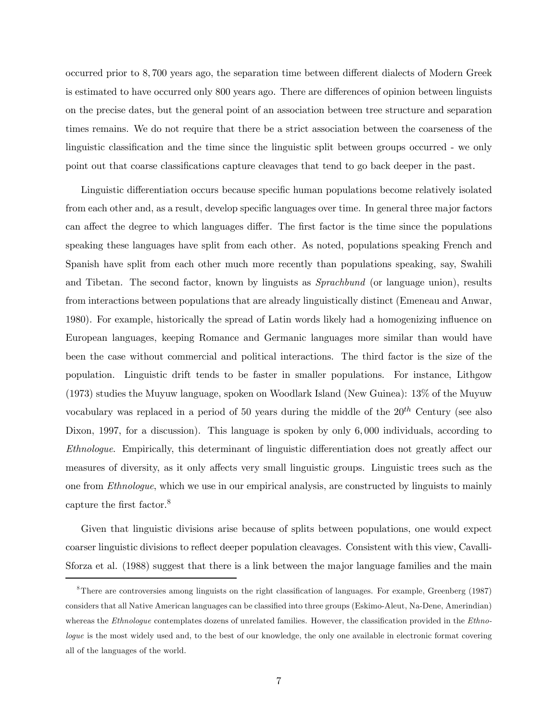occurred prior to 8, 700 years ago, the separation time between different dialects of Modern Greek is estimated to have occurred only 800 years ago. There are differences of opinion between linguists on the precise dates, but the general point of an association between tree structure and separation times remains. We do not require that there be a strict association between the coarseness of the linguistic classification and the time since the linguistic split between groups occurred - we only point out that coarse classifications capture cleavages that tend to go back deeper in the past.

Linguistic differentiation occurs because specific human populations become relatively isolated from each other and, as a result, develop specific languages over time. In general three major factors can affect the degree to which languages differ. The first factor is the time since the populations speaking these languages have split from each other. As noted, populations speaking French and Spanish have split from each other much more recently than populations speaking, say, Swahili and Tibetan. The second factor, known by linguists as *Sprachbund* (or language union), results from interactions between populations that are already linguistically distinct (Emeneau and Anwar, 1980). For example, historically the spread of Latin words likely had a homogenizing influence on European languages, keeping Romance and Germanic languages more similar than would have been the case without commercial and political interactions. The third factor is the size of the population. Linguistic drift tends to be faster in smaller populations. For instance, Lithgow (1973) studies the Muyuw language, spoken on Woodlark Island (New Guinea): 13% of the Muyuw vocabulary was replaced in a period of 50 years during the middle of the  $20<sup>th</sup>$  Century (see also Dixon, 1997, for a discussion). This language is spoken by only 6, 000 individuals, according to Ethnologue. Empirically, this determinant of linguistic differentiation does not greatly affect our measures of diversity, as it only affects very small linguistic groups. Linguistic trees such as the one from Ethnologue, which we use in our empirical analysis, are constructed by linguists to mainly capture the first factor.<sup>8</sup>

Given that linguistic divisions arise because of splits between populations, one would expect coarser linguistic divisions to reflect deeper population cleavages. Consistent with this view, Cavalli-Sforza et al. (1988) suggest that there is a link between the major language families and the main

<sup>8</sup>There are controversies among linguists on the right classification of languages. For example, Greenberg (1987) considers that all Native American languages can be classified into three groups (Eskimo-Aleut, Na-Dene, Amerindian) whereas the *Ethnologue* contemplates dozens of unrelated families. However, the classification provided in the *Ethno*logue is the most widely used and, to the best of our knowledge, the only one available in electronic format covering all of the languages of the world.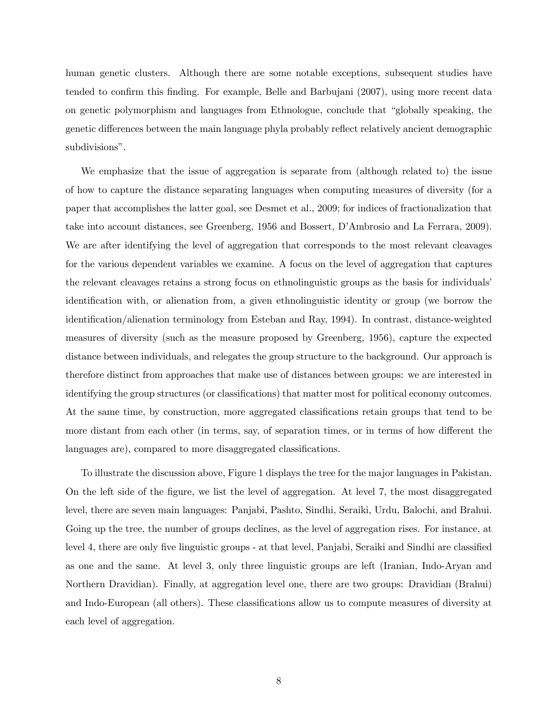human genetic clusters. Although there are some notable exceptions, subsequent studies have tended to confirm this finding. For example, Belle and Barbujani (2007), using more recent data on genetic polymorphism and languages from Ethnologue, conclude that "globally speaking, the genetic differences between the main language phyla probably reflect relatively ancient demographic subdivisions".

We emphasize that the issue of aggregation is separate from (although related to) the issue of how to capture the distance separating languages when computing measures of diversity (for a paper that accomplishes the latter goal, see Desmet et al., 2009; for indices of fractionalization that take into account distances, see Greenberg, 1956 and Bossert, D'Ambrosio and La Ferrara, 2009). We are after identifying the level of aggregation that corresponds to the most relevant cleavages for the various dependent variables we examine. A focus on the level of aggregation that captures the relevant cleavages retains a strong focus on ethnolinguistic groups as the basis for individuals' identification with, or alienation from, a given ethnolinguistic identity or group (we borrow the identification/alienation terminology from Esteban and Ray, 1994). In contrast, distance-weighted measures of diversity (such as the measure proposed by Greenberg, 1956), capture the expected distance between individuals, and relegates the group structure to the background. Our approach is therefore distinct from approaches that make use of distances between groups: we are interested in identifying the group structures (or classifications) that matter most for political economy outcomes. At the same time, by construction, more aggregated classifications retain groups that tend to be more distant from each other (in terms, say, of separation times, or in terms of how different the languages are), compared to more disaggregated classifications.

To illustrate the discussion above, Figure 1 displays the tree for the major languages in Pakistan. On the left side of the figure, we list the level of aggregation. At level 7, the most disaggregated level, there are seven main languages: Panjabi, Pashto, Sindhi, Seraiki, Urdu, Balochi, and Brahui. Going up the tree, the number of groups declines, as the level of aggregation rises. For instance, at level 4, there are only five linguistic groups - at that level, Panjabi, Seraiki and Sindhi are classified as one and the same. At level 3, only three linguistic groups are left (Iranian, Indo-Aryan and Northern Dravidian). Finally, at aggregation level one, there are two groups: Dravidian (Brahui) and Indo-European (all others). These classifications allow us to compute measures of diversity at each level of aggregation.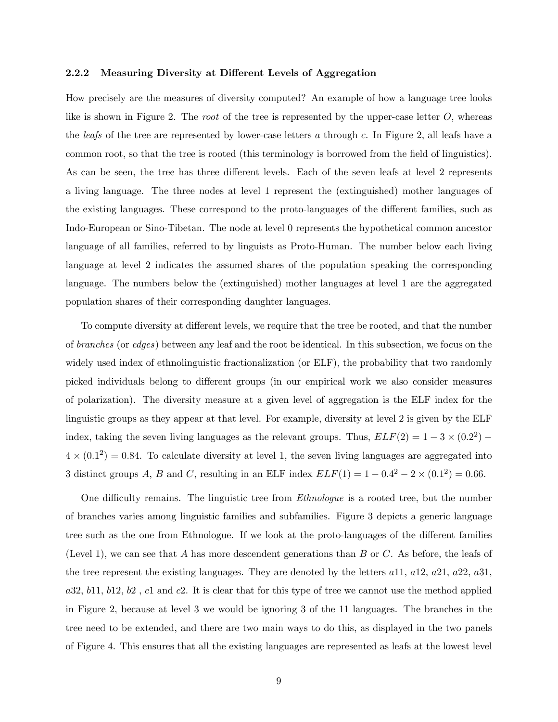#### 2.2.2 Measuring Diversity at Different Levels of Aggregation

How precisely are the measures of diversity computed? An example of how a language tree looks like is shown in Figure 2. The root of the tree is represented by the upper-case letter  $O$ , whereas the *leafs* of the tree are represented by lower-case letters a through c. In Figure 2, all leafs have a common root, so that the tree is rooted (this terminology is borrowed from the field of linguistics). As can be seen, the tree has three different levels. Each of the seven leafs at level 2 represents a living language. The three nodes at level 1 represent the (extinguished) mother languages of the existing languages. These correspond to the proto-languages of the different families, such as Indo-European or Sino-Tibetan. The node at level 0 represents the hypothetical common ancestor language of all families, referred to by linguists as Proto-Human. The number below each living language at level 2 indicates the assumed shares of the population speaking the corresponding language. The numbers below the (extinguished) mother languages at level 1 are the aggregated population shares of their corresponding daughter languages.

To compute diversity at different levels, we require that the tree be rooted, and that the number of branches (or edges) between any leaf and the root be identical. In this subsection, we focus on the widely used index of ethnolinguistic fractionalization (or ELF), the probability that two randomly picked individuals belong to different groups (in our empirical work we also consider measures of polarization). The diversity measure at a given level of aggregation is the ELF index for the linguistic groups as they appear at that level. For example, diversity at level 2 is given by the ELF index, taking the seven living languages as the relevant groups. Thus,  $ELF(2) = 1 - 3 \times (0.2^2)$  –  $4 \times (0.1^2) = 0.84$ . To calculate diversity at level 1, the seven living languages are aggregated into 3 distinct groups A, B and C, resulting in an ELF index  $ELF(1) = 1 - 0.4^2 - 2 \times (0.1^2) = 0.66$ .

One difficulty remains. The linguistic tree from *Ethnologue* is a rooted tree, but the number of branches varies among linguistic families and subfamilies. Figure 3 depicts a generic language tree such as the one from Ethnologue. If we look at the proto-languages of the different families (Level 1), we can see that A has more descendent generations than  $B$  or  $C$ . As before, the leafs of the tree represent the existing languages. They are denoted by the letters  $a11, a12, a21, a22, a31$ .  $a32, b11, b12, b2$ , c1 and c2. It is clear that for this type of tree we cannot use the method applied in Figure 2, because at level 3 we would be ignoring 3 of the 11 languages. The branches in the tree need to be extended, and there are two main ways to do this, as displayed in the two panels of Figure 4. This ensures that all the existing languages are represented as leafs at the lowest level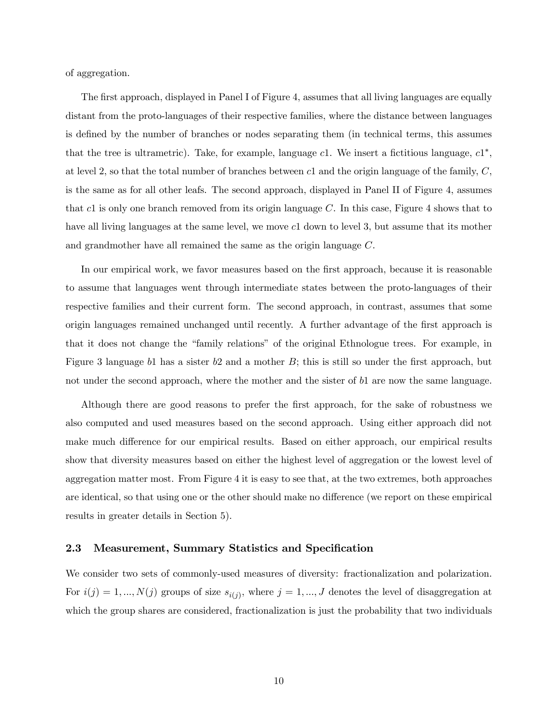of aggregation.

The first approach, displayed in Panel I of Figure 4, assumes that all living languages are equally distant from the proto-languages of their respective families, where the distance between languages is defined by the number of branches or nodes separating them (in technical terms, this assumes that the tree is ultrametric). Take, for example, language c1. We insert a fictitious language,  $c1^*$ . at level 2, so that the total number of branches between c1 and the origin language of the family,  $C$ , is the same as for all other leafs. The second approach, displayed in Panel II of Figure 4, assumes that c1 is only one branch removed from its origin language  $C$ . In this case, Figure 4 shows that to have all living languages at the same level, we move c1 down to level 3, but assume that its mother and grandmother have all remained the same as the origin language C.

In our empirical work, we favor measures based on the first approach, because it is reasonable to assume that languages went through intermediate states between the proto-languages of their respective families and their current form. The second approach, in contrast, assumes that some origin languages remained unchanged until recently. A further advantage of the first approach is that it does not change the "family relations" of the original Ethnologue trees. For example, in Figure 3 language b1 has a sister b2 and a mother B; this is still so under the first approach, but not under the second approach, where the mother and the sister of b1 are now the same language.

Although there are good reasons to prefer the first approach, for the sake of robustness we also computed and used measures based on the second approach. Using either approach did not make much difference for our empirical results. Based on either approach, our empirical results show that diversity measures based on either the highest level of aggregation or the lowest level of aggregation matter most. From Figure 4 it is easy to see that, at the two extremes, both approaches are identical, so that using one or the other should make no difference (we report on these empirical results in greater details in Section 5).

#### 2.3 Measurement, Summary Statistics and Specification

We consider two sets of commonly-used measures of diversity: fractionalization and polarization. For  $i(j)=1, ..., N(j)$  groups of size  $s_{i(j)}$ , where  $j = 1, ..., J$  denotes the level of disaggregation at which the group shares are considered, fractionalization is just the probability that two individuals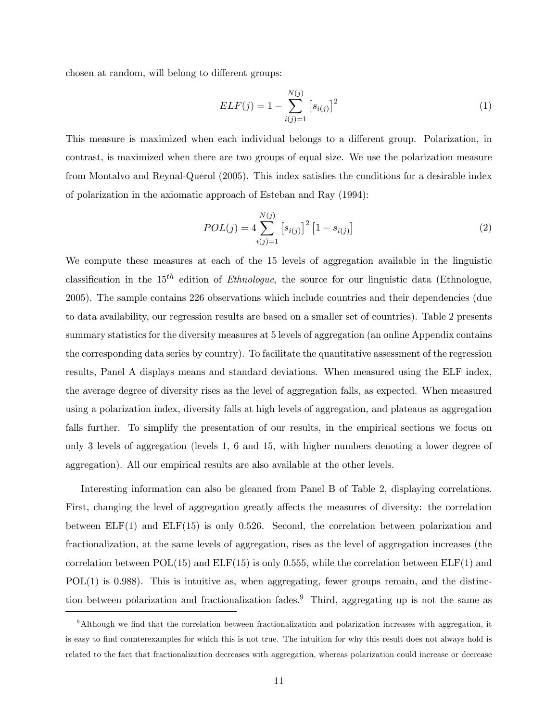chosen at random, will belong to different groups:

$$
ELF(j) = 1 - \sum_{i(j)=1}^{N(j)} [s_{i(j)}]^{2}
$$
\n(1)

This measure is maximized when each individual belongs to a different group. Polarization, in contrast, is maximized when there are two groups of equal size. We use the polarization measure from Montalvo and Reynal-Querol (2005). This index satisfies the conditions for a desirable index of polarization in the axiomatic approach of Esteban and Ray (1994):

$$
POL(j) = 4 \sum_{i(j)=1}^{N(j)} [s_{i(j)}]^2 [1 - s_{i(j)}]
$$
\n(2)

We compute these measures at each of the 15 levels of aggregation available in the linguistic classification in the  $15<sup>th</sup>$  edition of *Ethnologue*, the source for our linguistic data (Ethnologue, 2005). The sample contains 226 observations which include countries and their dependencies (due to data availability, our regression results are based on a smaller set of countries). Table 2 presents summary statistics for the diversity measures at 5 levels of aggregation (an online Appendix contains the corresponding data series by country). To facilitate the quantitative assessment of the regression results, Panel A displays means and standard deviations. When measured using the ELF index, the average degree of diversity rises as the level of aggregation falls, as expected. When measured using a polarization index, diversity falls at high levels of aggregation, and plateaus as aggregation falls further. To simplify the presentation of our results, in the empirical sections we focus on only 3 levels of aggregation (levels 1, 6 and 15, with higher numbers denoting a lower degree of aggregation). All our empirical results are also available at the other levels.

Interesting information can also be gleaned from Panel B of Table 2, displaying correlations. First, changing the level of aggregation greatly affects the measures of diversity: the correlation between  $ELF(1)$  and  $ELF(15)$  is only 0.526. Second, the correlation between polarization and fractionalization, at the same levels of aggregation, rises as the level of aggregation increases (the correlation between  $POL(15)$  and  $ELF(15)$  is only 0.555, while the correlation between  $ELF(1)$  and POL(1) is 0.988). This is intuitive as, when aggregating, fewer groups remain, and the distinction between polarization and fractionalization fades.<sup>9</sup> Third, aggregating up is not the same as

<sup>&</sup>lt;sup>9</sup>Although we find that the correlation between fractionalization and polarization increases with aggregation, it is easy to find counterexamples for which this is not true. The intuition for why this result does not always hold is related to the fact that fractionalization decreases with aggregation, whereas polarization could increase or decrease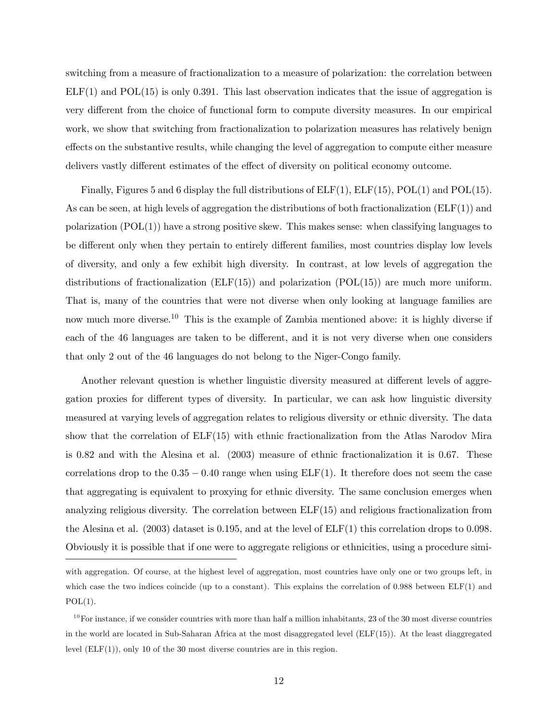switching from a measure of fractionalization to a measure of polarization: the correlation between  $ELF(1)$  and  $POL(15)$  is only 0.391. This last observation indicates that the issue of aggregation is very different from the choice of functional form to compute diversity measures. In our empirical work, we show that switching from fractionalization to polarization measures has relatively benign effects on the substantive results, while changing the level of aggregation to compute either measure delivers vastly different estimates of the effect of diversity on political economy outcome.

Finally, Figures 5 and 6 display the full distributions of ELF(1), ELF(15), POL(1) and POL(15). As can be seen, at high levels of aggregation the distributions of both fractionalization  $(ELF(1))$  and polarization (POL(1)) have a strong positive skew. This makes sense: when classifying languages to be different only when they pertain to entirely different families, most countries display low levels of diversity, and only a few exhibit high diversity. In contrast, at low levels of aggregation the distributions of fractionalization ( $ELF(15)$ ) and polarization ( $POL(15)$ ) are much more uniform. That is, many of the countries that were not diverse when only looking at language families are now much more diverse.<sup>10</sup> This is the example of Zambia mentioned above: it is highly diverse if each of the 46 languages are taken to be different, and it is not very diverse when one considers that only 2 out of the 46 languages do not belong to the Niger-Congo family.

Another relevant question is whether linguistic diversity measured at different levels of aggregation proxies for different types of diversity. In particular, we can ask how linguistic diversity measured at varying levels of aggregation relates to religious diversity or ethnic diversity. The data show that the correlation of ELF(15) with ethnic fractionalization from the Atlas Narodov Mira is 0.82 and with the Alesina et al. (2003) measure of ethnic fractionalization it is 0.67. These correlations drop to the  $0.35 - 0.40$  range when using  $ELF(1)$ . It therefore does not seem the case that aggregating is equivalent to proxying for ethnic diversity. The same conclusion emerges when analyzing religious diversity. The correlation between ELF(15) and religious fractionalization from the Alesina et al. (2003) dataset is 0.195, and at the level of ELF(1) this correlation drops to 0.098. Obviously it is possible that if one were to aggregate religions or ethnicities, using a procedure simi-

with aggregation. Of course, at the highest level of aggregation, most countries have only one or two groups left, in which case the two indices coincide (up to a constant). This explains the correlation of  $0.988$  between  $ELF(1)$  and  $POL(1).$ 

 $10$  For instance, if we consider countries with more than half a million inhabitants, 23 of the 30 most diverse countries in the world are located in Sub-Saharan Africa at the most disaggregated level (ELF(15)). At the least diaggregated level  $(ELF(1))$ , only 10 of the 30 most diverse countries are in this region.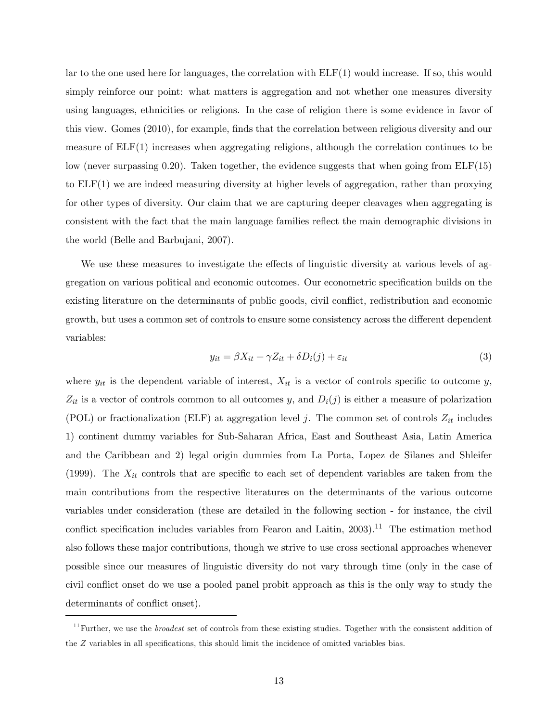lar to the one used here for languages, the correlation with ELF(1) would increase. If so, this would simply reinforce our point: what matters is aggregation and not whether one measures diversity using languages, ethnicities or religions. In the case of religion there is some evidence in favor of this view. Gomes (2010), for example, finds that the correlation between religious diversity and our measure of ELF(1) increases when aggregating religions, although the correlation continues to be low (never surpassing 0.20). Taken together, the evidence suggests that when going from  $ELF(15)$ to ELF(1) we are indeed measuring diversity at higher levels of aggregation, rather than proxying for other types of diversity. Our claim that we are capturing deeper cleavages when aggregating is consistent with the fact that the main language families reflect the main demographic divisions in the world (Belle and Barbujani, 2007).

We use these measures to investigate the effects of linguistic diversity at various levels of aggregation on various political and economic outcomes. Our econometric specification builds on the existing literature on the determinants of public goods, civil conflict, redistribution and economic growth, but uses a common set of controls to ensure some consistency across the different dependent variables:

$$
y_{it} = \beta X_{it} + \gamma Z_{it} + \delta D_i(j) + \varepsilon_{it}
$$
\n<sup>(3)</sup>

where  $y_{it}$  is the dependent variable of interest,  $X_{it}$  is a vector of controls specific to outcome y,  $Z_{it}$  is a vector of controls common to all outcomes y, and  $D_i(j)$  is either a measure of polarization (POL) or fractionalization (ELF) at aggregation level j. The common set of controls  $Z_{it}$  includes 1) continent dummy variables for Sub-Saharan Africa, East and Southeast Asia, Latin America and the Caribbean and 2) legal origin dummies from La Porta, Lopez de Silanes and Shleifer (1999). The  $X_{it}$  controls that are specific to each set of dependent variables are taken from the main contributions from the respective literatures on the determinants of the various outcome variables under consideration (these are detailed in the following section - for instance, the civil conflict specification includes variables from Fearon and Laitin,  $2003$ ).<sup>11</sup> The estimation method also follows these major contributions, though we strive to use cross sectional approaches whenever possible since our measures of linguistic diversity do not vary through time (only in the case of civil conflict onset do we use a pooled panel probit approach as this is the only way to study the determinants of conflict onset).

 $11$  Further, we use the *broadest* set of controls from these existing studies. Together with the consistent addition of the Z variables in all specifications, this should limit the incidence of omitted variables bias.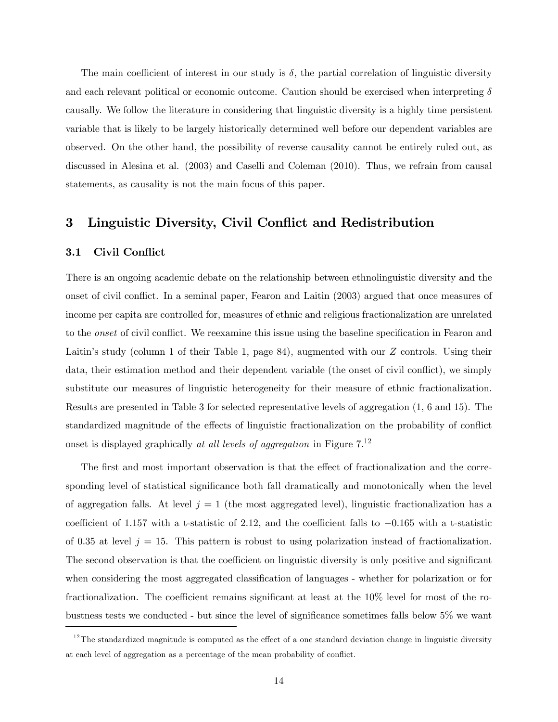The main coefficient of interest in our study is  $\delta$ , the partial correlation of linguistic diversity and each relevant political or economic outcome. Caution should be exercised when interpreting  $\delta$ causally. We follow the literature in considering that linguistic diversity is a highly time persistent variable that is likely to be largely historically determined well before our dependent variables are observed. On the other hand, the possibility of reverse causality cannot be entirely ruled out, as discussed in Alesina et al. (2003) and Caselli and Coleman (2010). Thus, we refrain from causal statements, as causality is not the main focus of this paper.

# 3 Linguistic Diversity, Civil Conflict and Redistribution

#### 3.1 Civil Conflict

There is an ongoing academic debate on the relationship between ethnolinguistic diversity and the onset of civil conflict. In a seminal paper, Fearon and Laitin (2003) argued that once measures of income per capita are controlled for, measures of ethnic and religious fractionalization are unrelated to the onset of civil conflict. We reexamine this issue using the baseline specification in Fearon and Laitin's study (column 1 of their Table 1, page 84), augmented with our Z controls. Using their data, their estimation method and their dependent variable (the onset of civil conflict), we simply substitute our measures of linguistic heterogeneity for their measure of ethnic fractionalization. Results are presented in Table 3 for selected representative levels of aggregation (1, 6 and 15). The standardized magnitude of the effects of linguistic fractionalization on the probability of conflict onset is displayed graphically at all levels of aggregation in Figure  $7^{12}$ 

The first and most important observation is that the effect of fractionalization and the corresponding level of statistical significance both fall dramatically and monotonically when the level of aggregation falls. At level  $j = 1$  (the most aggregated level), linguistic fractionalization has a coefficient of 1.157 with a t-statistic of 2.12, and the coefficient falls to −0.165 with a t-statistic of 0.35 at level  $j = 15$ . This pattern is robust to using polarization instead of fractionalization. The second observation is that the coefficient on linguistic diversity is only positive and significant when considering the most aggregated classification of languages - whether for polarization or for fractionalization. The coefficient remains significant at least at the 10% level for most of the robustness tests we conducted - but since the level of significance sometimes falls below 5% we want

 $12$ The standardized magnitude is computed as the effect of a one standard deviation change in linguistic diversity at each level of aggregation as a percentage of the mean probability of conflict.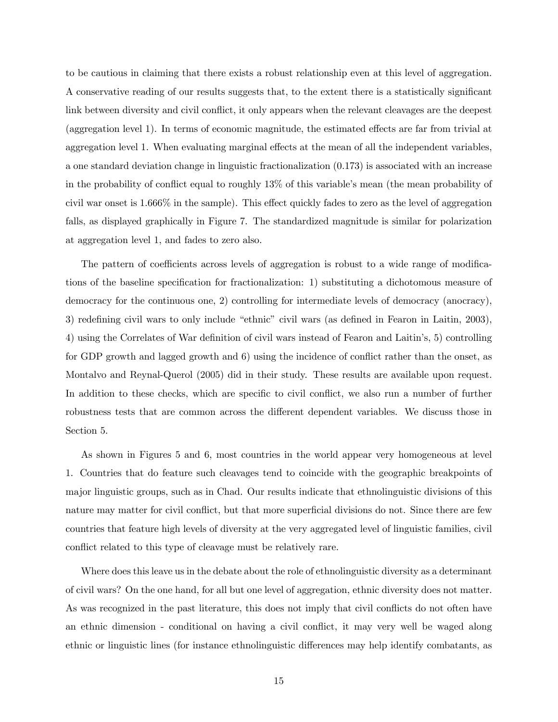to be cautious in claiming that there exists a robust relationship even at this level of aggregation. A conservative reading of our results suggests that, to the extent there is a statistically significant link between diversity and civil conflict, it only appears when the relevant cleavages are the deepest (aggregation level 1). In terms of economic magnitude, the estimated effects are far from trivial at aggregation level 1. When evaluating marginal effects at the mean of all the independent variables, a one standard deviation change in linguistic fractionalization (0.173) is associated with an increase in the probability of conflict equal to roughly 13% of this variable's mean (the mean probability of civil war onset is 1.666% in the sample). This effect quickly fades to zero as the level of aggregation falls, as displayed graphically in Figure 7. The standardized magnitude is similar for polarization at aggregation level 1, and fades to zero also.

The pattern of coefficients across levels of aggregation is robust to a wide range of modifications of the baseline specification for fractionalization: 1) substituting a dichotomous measure of democracy for the continuous one, 2) controlling for intermediate levels of democracy (anocracy), 3) redefining civil wars to only include "ethnic" civil wars (as defined in Fearon in Laitin, 2003), 4) using the Correlates of War definition of civil wars instead of Fearon and Laitin's, 5) controlling for GDP growth and lagged growth and 6) using the incidence of conflict rather than the onset, as Montalvo and Reynal-Querol (2005) did in their study. These results are available upon request. In addition to these checks, which are specific to civil conflict, we also run a number of further robustness tests that are common across the different dependent variables. We discuss those in Section 5.

As shown in Figures 5 and 6, most countries in the world appear very homogeneous at level 1. Countries that do feature such cleavages tend to coincide with the geographic breakpoints of major linguistic groups, such as in Chad. Our results indicate that ethnolinguistic divisions of this nature may matter for civil conflict, but that more superficial divisions do not. Since there are few countries that feature high levels of diversity at the very aggregated level of linguistic families, civil conflict related to this type of cleavage must be relatively rare.

Where does this leave us in the debate about the role of ethnolinguistic diversity as a determinant of civil wars? On the one hand, for all but one level of aggregation, ethnic diversity does not matter. As was recognized in the past literature, this does not imply that civil conflicts do not often have an ethnic dimension - conditional on having a civil conflict, it may very well be waged along ethnic or linguistic lines (for instance ethnolinguistic differences may help identify combatants, as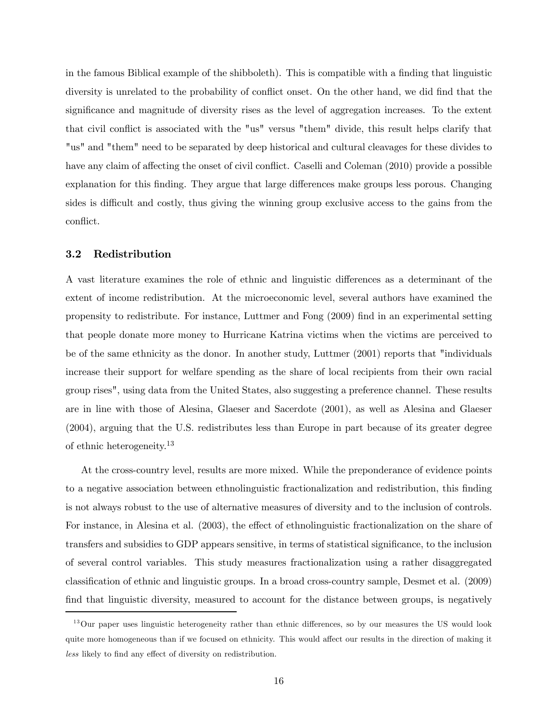in the famous Biblical example of the shibboleth). This is compatible with a finding that linguistic diversity is unrelated to the probability of conflict onset. On the other hand, we did find that the significance and magnitude of diversity rises as the level of aggregation increases. To the extent that civil conflict is associated with the "us" versus "them" divide, this result helps clarify that "us" and "them" need to be separated by deep historical and cultural cleavages for these divides to have any claim of affecting the onset of civil conflict. Caselli and Coleman (2010) provide a possible explanation for this finding. They argue that large differences make groups less porous. Changing sides is difficult and costly, thus giving the winning group exclusive access to the gains from the conflict.

#### 3.2 Redistribution

A vast literature examines the role of ethnic and linguistic differences as a determinant of the extent of income redistribution. At the microeconomic level, several authors have examined the propensity to redistribute. For instance, Luttmer and Fong (2009) find in an experimental setting that people donate more money to Hurricane Katrina victims when the victims are perceived to be of the same ethnicity as the donor. In another study, Luttmer (2001) reports that "individuals increase their support for welfare spending as the share of local recipients from their own racial group rises", using data from the United States, also suggesting a preference channel. These results are in line with those of Alesina, Glaeser and Sacerdote (2001), as well as Alesina and Glaeser (2004), arguing that the U.S. redistributes less than Europe in part because of its greater degree of ethnic heterogeneity.13

At the cross-country level, results are more mixed. While the preponderance of evidence points to a negative association between ethnolinguistic fractionalization and redistribution, this finding is not always robust to the use of alternative measures of diversity and to the inclusion of controls. For instance, in Alesina et al. (2003), the effect of ethnolinguistic fractionalization on the share of transfers and subsidies to GDP appears sensitive, in terms of statistical significance, to the inclusion of several control variables. This study measures fractionalization using a rather disaggregated classification of ethnic and linguistic groups. In a broad cross-country sample, Desmet et al. (2009) find that linguistic diversity, measured to account for the distance between groups, is negatively

<sup>&</sup>lt;sup>13</sup>Our paper uses linguistic heterogeneity rather than ethnic differences, so by our measures the US would look quite more homogeneous than if we focused on ethnicity. This would affect our results in the direction of making it less likely to find any effect of diversity on redistribution.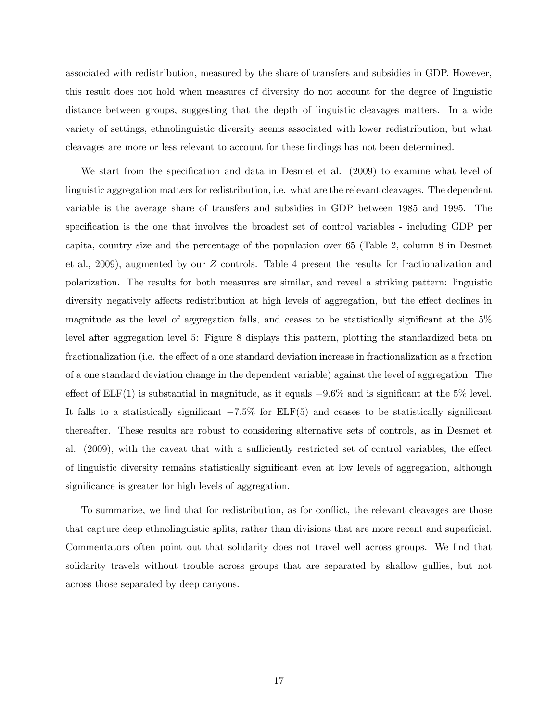associated with redistribution, measured by the share of transfers and subsidies in GDP. However, this result does not hold when measures of diversity do not account for the degree of linguistic distance between groups, suggesting that the depth of linguistic cleavages matters. In a wide variety of settings, ethnolinguistic diversity seems associated with lower redistribution, but what cleavages are more or less relevant to account for these findings has not been determined.

We start from the specification and data in Desmet et al. (2009) to examine what level of linguistic aggregation matters for redistribution, i.e. what are the relevant cleavages. The dependent variable is the average share of transfers and subsidies in GDP between 1985 and 1995. The specification is the one that involves the broadest set of control variables - including GDP per capita, country size and the percentage of the population over 65 (Table 2, column 8 in Desmet et al., 2009), augmented by our Z controls. Table 4 present the results for fractionalization and polarization. The results for both measures are similar, and reveal a striking pattern: linguistic diversity negatively affects redistribution at high levels of aggregation, but the effect declines in magnitude as the level of aggregation falls, and ceases to be statistically significant at the 5% level after aggregation level 5: Figure 8 displays this pattern, plotting the standardized beta on fractionalization (i.e. the effect of a one standard deviation increase in fractionalization as a fraction of a one standard deviation change in the dependent variable) against the level of aggregation. The effect of ELF(1) is substantial in magnitude, as it equals  $-9.6\%$  and is significant at the 5% level. It falls to a statistically significant  $-7.5\%$  for ELF(5) and ceases to be statistically significant thereafter. These results are robust to considering alternative sets of controls, as in Desmet et al. (2009), with the caveat that with a sufficiently restricted set of control variables, the effect of linguistic diversity remains statistically significant even at low levels of aggregation, although significance is greater for high levels of aggregation.

To summarize, we find that for redistribution, as for conflict, the relevant cleavages are those that capture deep ethnolinguistic splits, rather than divisions that are more recent and superficial. Commentators often point out that solidarity does not travel well across groups. We find that solidarity travels without trouble across groups that are separated by shallow gullies, but not across those separated by deep canyons.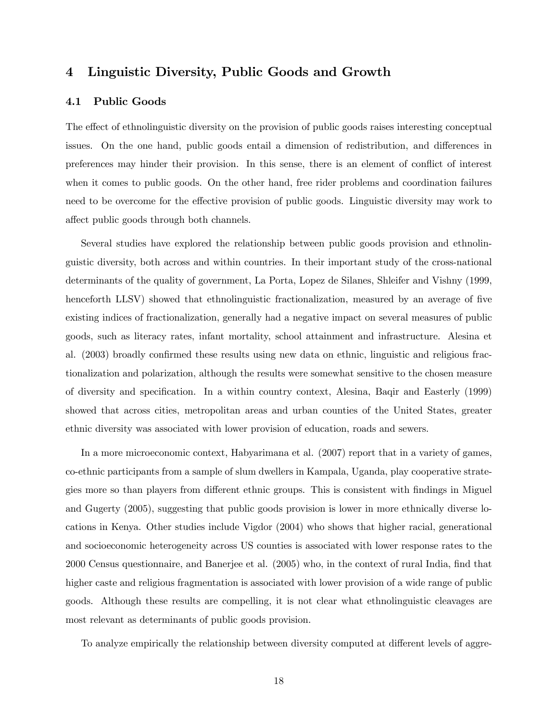# 4 Linguistic Diversity, Public Goods and Growth

#### 4.1 Public Goods

The effect of ethnolinguistic diversity on the provision of public goods raises interesting conceptual issues. On the one hand, public goods entail a dimension of redistribution, and differences in preferences may hinder their provision. In this sense, there is an element of conflict of interest when it comes to public goods. On the other hand, free rider problems and coordination failures need to be overcome for the effective provision of public goods. Linguistic diversity may work to affect public goods through both channels.

Several studies have explored the relationship between public goods provision and ethnolinguistic diversity, both across and within countries. In their important study of the cross-national determinants of the quality of government, La Porta, Lopez de Silanes, Shleifer and Vishny (1999, henceforth LLSV) showed that ethnolinguistic fractionalization, measured by an average of five existing indices of fractionalization, generally had a negative impact on several measures of public goods, such as literacy rates, infant mortality, school attainment and infrastructure. Alesina et al. (2003) broadly confirmed these results using new data on ethnic, linguistic and religious fractionalization and polarization, although the results were somewhat sensitive to the chosen measure of diversity and specification. In a within country context, Alesina, Baqir and Easterly (1999) showed that across cities, metropolitan areas and urban counties of the United States, greater ethnic diversity was associated with lower provision of education, roads and sewers.

In a more microeconomic context, Habyarimana et al. (2007) report that in a variety of games, co-ethnic participants from a sample of slum dwellers in Kampala, Uganda, play cooperative strategies more so than players from different ethnic groups. This is consistent with findings in Miguel and Gugerty (2005), suggesting that public goods provision is lower in more ethnically diverse locations in Kenya. Other studies include Vigdor (2004) who shows that higher racial, generational and socioeconomic heterogeneity across US counties is associated with lower response rates to the 2000 Census questionnaire, and Banerjee et al. (2005) who, in the context of rural India, find that higher caste and religious fragmentation is associated with lower provision of a wide range of public goods. Although these results are compelling, it is not clear what ethnolinguistic cleavages are most relevant as determinants of public goods provision.

To analyze empirically the relationship between diversity computed at different levels of aggre-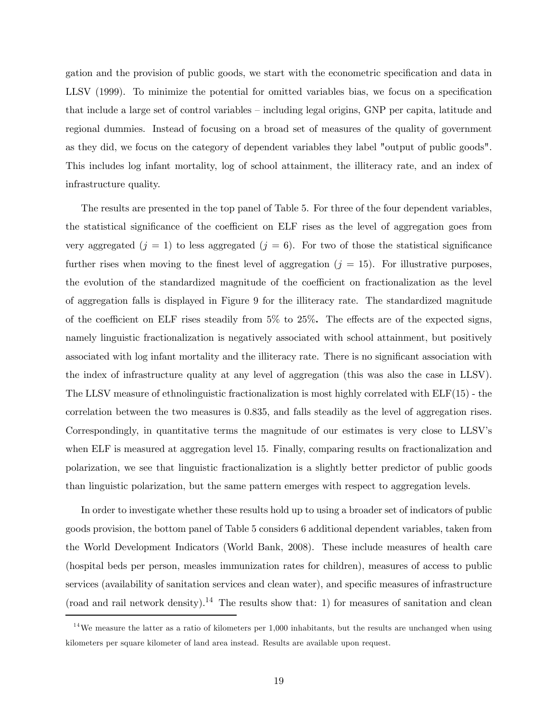gation and the provision of public goods, we start with the econometric specification and data in LLSV (1999). To minimize the potential for omitted variables bias, we focus on a specification that include a large set of control variables — including legal origins, GNP per capita, latitude and regional dummies. Instead of focusing on a broad set of measures of the quality of government as they did, we focus on the category of dependent variables they label "output of public goods". This includes log infant mortality, log of school attainment, the illiteracy rate, and an index of infrastructure quality.

The results are presented in the top panel of Table 5. For three of the four dependent variables, the statistical significance of the coefficient on ELF rises as the level of aggregation goes from very aggregated  $(j = 1)$  to less aggregated  $(j = 6)$ . For two of those the statistical significance further rises when moving to the finest level of aggregation  $(j = 15)$ . For illustrative purposes, the evolution of the standardized magnitude of the coefficient on fractionalization as the level of aggregation falls is displayed in Figure 9 for the illiteracy rate. The standardized magnitude of the coefficient on ELF rises steadily from  $5\%$  to  $25\%$ . The effects are of the expected signs, namely linguistic fractionalization is negatively associated with school attainment, but positively associated with log infant mortality and the illiteracy rate. There is no significant association with the index of infrastructure quality at any level of aggregation (this was also the case in LLSV). The LLSV measure of ethnolinguistic fractionalization is most highly correlated with ELF(15) - the correlation between the two measures is 0.835, and falls steadily as the level of aggregation rises. Correspondingly, in quantitative terms the magnitude of our estimates is very close to LLSV's when ELF is measured at aggregation level 15. Finally, comparing results on fractionalization and polarization, we see that linguistic fractionalization is a slightly better predictor of public goods than linguistic polarization, but the same pattern emerges with respect to aggregation levels.

In order to investigate whether these results hold up to using a broader set of indicators of public goods provision, the bottom panel of Table 5 considers 6 additional dependent variables, taken from the World Development Indicators (World Bank, 2008). These include measures of health care (hospital beds per person, measles immunization rates for children), measures of access to public services (availability of sanitation services and clean water), and specific measures of infrastructure (road and rail network density).<sup>14</sup> The results show that: 1) for measures of sanitation and clean

 $14$ We measure the latter as a ratio of kilometers per 1,000 inhabitants, but the results are unchanged when using kilometers per square kilometer of land area instead. Results are available upon request.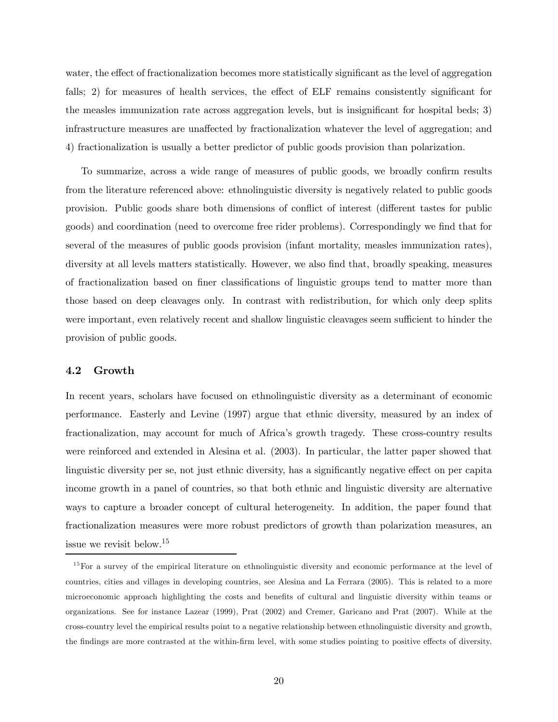water, the effect of fractionalization becomes more statistically significant as the level of aggregation falls; 2) for measures of health services, the effect of ELF remains consistently significant for the measles immunization rate across aggregation levels, but is insignificant for hospital beds; 3) infrastructure measures are unaffected by fractionalization whatever the level of aggregation; and 4) fractionalization is usually a better predictor of public goods provision than polarization.

To summarize, across a wide range of measures of public goods, we broadly confirm results from the literature referenced above: ethnolinguistic diversity is negatively related to public goods provision. Public goods share both dimensions of conflict of interest (different tastes for public goods) and coordination (need to overcome free rider problems). Correspondingly we find that for several of the measures of public goods provision (infant mortality, measles immunization rates), diversity at all levels matters statistically. However, we also find that, broadly speaking, measures of fractionalization based on finer classifications of linguistic groups tend to matter more than those based on deep cleavages only. In contrast with redistribution, for which only deep splits were important, even relatively recent and shallow linguistic cleavages seem sufficient to hinder the provision of public goods.

#### 4.2 Growth

In recent years, scholars have focused on ethnolinguistic diversity as a determinant of economic performance. Easterly and Levine (1997) argue that ethnic diversity, measured by an index of fractionalization, may account for much of Africa's growth tragedy. These cross-country results were reinforced and extended in Alesina et al. (2003). In particular, the latter paper showed that linguistic diversity per se, not just ethnic diversity, has a significantly negative effect on per capita income growth in a panel of countries, so that both ethnic and linguistic diversity are alternative ways to capture a broader concept of cultural heterogeneity. In addition, the paper found that fractionalization measures were more robust predictors of growth than polarization measures, an issue we revisit below.<sup>15</sup>

 $15$  For a survey of the empirical literature on ethnolinguistic diversity and economic performance at the level of countries, cities and villages in developing countries, see Alesina and La Ferrara (2005). This is related to a more microeconomic approach highlighting the costs and benefits of cultural and linguistic diversity within teams or organizations. See for instance Lazear (1999), Prat (2002) and Cremer, Garicano and Prat (2007). While at the cross-country level the empirical results point to a negative relationship between ethnolinguistic diversity and growth, the findings are more contrasted at the within-firm level, with some studies pointing to positive effects of diversity.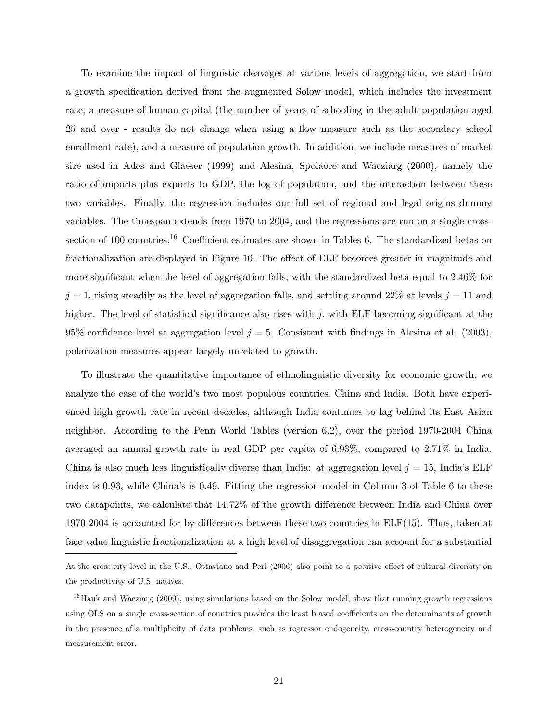To examine the impact of linguistic cleavages at various levels of aggregation, we start from a growth specification derived from the augmented Solow model, which includes the investment rate, a measure of human capital (the number of years of schooling in the adult population aged 25 and over - results do not change when using a flow measure such as the secondary school enrollment rate), and a measure of population growth. In addition, we include measures of market size used in Ades and Glaeser (1999) and Alesina, Spolaore and Wacziarg (2000), namely the ratio of imports plus exports to GDP, the log of population, and the interaction between these two variables. Finally, the regression includes our full set of regional and legal origins dummy variables. The timespan extends from 1970 to 2004, and the regressions are run on a single crosssection of 100 countries.<sup>16</sup> Coefficient estimates are shown in Tables 6. The standardized betas on fractionalization are displayed in Figure 10. The effect of ELF becomes greater in magnitude and more significant when the level of aggregation falls, with the standardized beta equal to 2.46% for  $j = 1$ , rising steadily as the level of aggregation falls, and settling around 22% at levels  $j = 11$  and higher. The level of statistical significance also rises with  $j$ , with ELF becoming significant at the 95% confidence level at aggregation level  $j = 5$ . Consistent with findings in Alesina et al. (2003), polarization measures appear largely unrelated to growth.

To illustrate the quantitative importance of ethnolinguistic diversity for economic growth, we analyze the case of the world's two most populous countries, China and India. Both have experienced high growth rate in recent decades, although India continues to lag behind its East Asian neighbor. According to the Penn World Tables (version 6.2), over the period 1970-2004 China averaged an annual growth rate in real GDP per capita of 6.93%, compared to 2.71% in India. China is also much less linguistically diverse than India: at aggregation level  $j = 15$ , India's ELF index is 0.93, while China's is 0.49. Fitting the regression model in Column 3 of Table 6 to these two datapoints, we calculate that 14.72% of the growth difference between India and China over 1970-2004 is accounted for by differences between these two countries in ELF(15). Thus, taken at face value linguistic fractionalization at a high level of disaggregation can account for a substantial

At the cross-city level in the U.S., Ottaviano and Peri (2006) also point to a positive effect of cultural diversity on the productivity of U.S. natives.

 $^{16}$ Hauk and Wacziarg (2009), using simulations based on the Solow model, show that running growth regressions using OLS on a single cross-section of countries provides the least biased coefficients on the determinants of growth in the presence of a multiplicity of data problems, such as regressor endogeneity, cross-country heterogeneity and measurement error.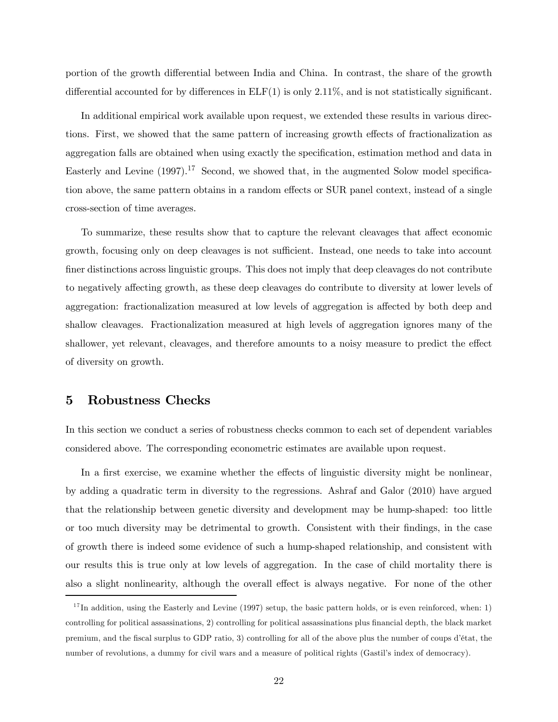portion of the growth differential between India and China. In contrast, the share of the growth differential accounted for by differences in  $ELF(1)$  is only 2.11%, and is not statistically significant.

In additional empirical work available upon request, we extended these results in various directions. First, we showed that the same pattern of increasing growth effects of fractionalization as aggregation falls are obtained when using exactly the specification, estimation method and data in Easterly and Levine  $(1997)$ .<sup>17</sup> Second, we showed that, in the augmented Solow model specification above, the same pattern obtains in a random effects or SUR panel context, instead of a single cross-section of time averages.

To summarize, these results show that to capture the relevant cleavages that affect economic growth, focusing only on deep cleavages is not sufficient. Instead, one needs to take into account finer distinctions across linguistic groups. This does not imply that deep cleavages do not contribute to negatively affecting growth, as these deep cleavages do contribute to diversity at lower levels of aggregation: fractionalization measured at low levels of aggregation is affected by both deep and shallow cleavages. Fractionalization measured at high levels of aggregation ignores many of the shallower, yet relevant, cleavages, and therefore amounts to a noisy measure to predict the effect of diversity on growth.

# 5 Robustness Checks

In this section we conduct a series of robustness checks common to each set of dependent variables considered above. The corresponding econometric estimates are available upon request.

In a first exercise, we examine whether the effects of linguistic diversity might be nonlinear, by adding a quadratic term in diversity to the regressions. Ashraf and Galor (2010) have argued that the relationship between genetic diversity and development may be hump-shaped: too little or too much diversity may be detrimental to growth. Consistent with their findings, in the case of growth there is indeed some evidence of such a hump-shaped relationship, and consistent with our results this is true only at low levels of aggregation. In the case of child mortality there is also a slight nonlinearity, although the overall effect is always negative. For none of the other

 $17$  In addition, using the Easterly and Levine (1997) setup, the basic pattern holds, or is even reinforced, when: 1) controlling for political assassinations, 2) controlling for political assassinations plus financial depth, the black market premium, and the fiscal surplus to GDP ratio, 3) controlling for all of the above plus the number of coups d'état, the number of revolutions, a dummy for civil wars and a measure of political rights (Gastil's index of democracy).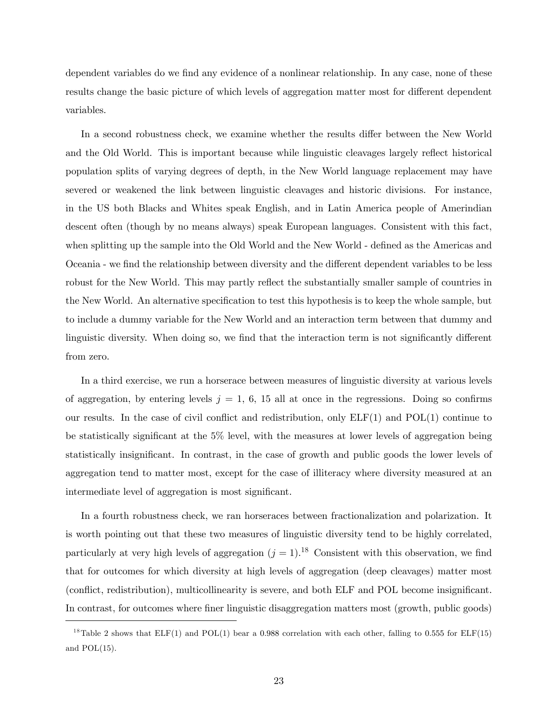dependent variables do we find any evidence of a nonlinear relationship. In any case, none of these results change the basic picture of which levels of aggregation matter most for different dependent variables.

In a second robustness check, we examine whether the results differ between the New World and the Old World. This is important because while linguistic cleavages largely reflect historical population splits of varying degrees of depth, in the New World language replacement may have severed or weakened the link between linguistic cleavages and historic divisions. For instance, in the US both Blacks and Whites speak English, and in Latin America people of Amerindian descent often (though by no means always) speak European languages. Consistent with this fact, when splitting up the sample into the Old World and the New World - defined as the Americas and Oceania - we find the relationship between diversity and the different dependent variables to be less robust for the New World. This may partly reflect the substantially smaller sample of countries in the New World. An alternative specification to test this hypothesis is to keep the whole sample, but to include a dummy variable for the New World and an interaction term between that dummy and linguistic diversity. When doing so, we find that the interaction term is not significantly different from zero.

In a third exercise, we run a horserace between measures of linguistic diversity at various levels of aggregation, by entering levels  $j = 1, 6, 15$  all at once in the regressions. Doing so confirms our results. In the case of civil conflict and redistribution, only  $ELF(1)$  and  $POL(1)$  continue to be statistically significant at the 5% level, with the measures at lower levels of aggregation being statistically insignificant. In contrast, in the case of growth and public goods the lower levels of aggregation tend to matter most, except for the case of illiteracy where diversity measured at an intermediate level of aggregation is most significant.

In a fourth robustness check, we ran horseraces between fractionalization and polarization. It is worth pointing out that these two measures of linguistic diversity tend to be highly correlated, particularly at very high levels of aggregation  $(j = 1)$ .<sup>18</sup> Consistent with this observation, we find that for outcomes for which diversity at high levels of aggregation (deep cleavages) matter most (conflict, redistribution), multicollinearity is severe, and both ELF and POL become insignificant. In contrast, for outcomes where finer linguistic disaggregation matters most (growth, public goods)

<sup>&</sup>lt;sup>18</sup>Table 2 shows that  $ELF(1)$  and  $POL(1)$  bear a 0.988 correlation with each other, falling to 0.555 for  $ELF(15)$ and  $POL(15)$ .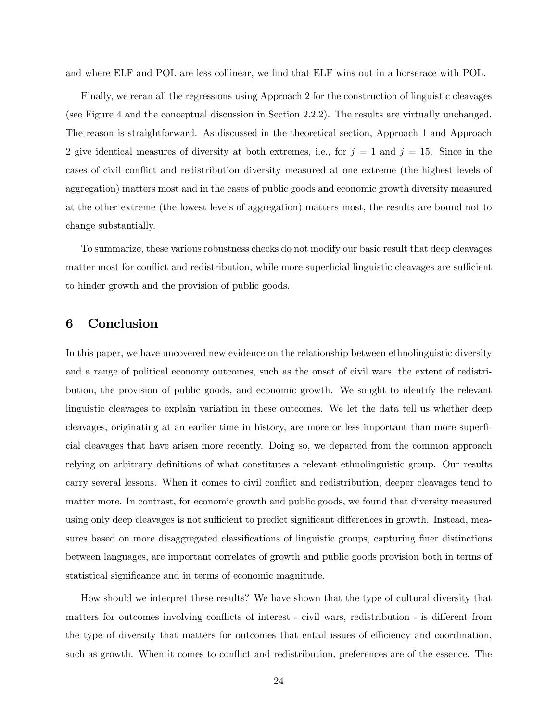and where ELF and POL are less collinear, we find that ELF wins out in a horserace with POL.

Finally, we reran all the regressions using Approach 2 for the construction of linguistic cleavages (see Figure 4 and the conceptual discussion in Section 2.2.2). The results are virtually unchanged. The reason is straightforward. As discussed in the theoretical section, Approach 1 and Approach 2 give identical measures of diversity at both extremes, i.e., for  $j = 1$  and  $j = 15$ . Since in the cases of civil conflict and redistribution diversity measured at one extreme (the highest levels of aggregation) matters most and in the cases of public goods and economic growth diversity measured at the other extreme (the lowest levels of aggregation) matters most, the results are bound not to change substantially.

To summarize, these various robustness checks do not modify our basic result that deep cleavages matter most for conflict and redistribution, while more superficial linguistic cleavages are sufficient to hinder growth and the provision of public goods.

# 6 Conclusion

In this paper, we have uncovered new evidence on the relationship between ethnolinguistic diversity and a range of political economy outcomes, such as the onset of civil wars, the extent of redistribution, the provision of public goods, and economic growth. We sought to identify the relevant linguistic cleavages to explain variation in these outcomes. We let the data tell us whether deep cleavages, originating at an earlier time in history, are more or less important than more superficial cleavages that have arisen more recently. Doing so, we departed from the common approach relying on arbitrary definitions of what constitutes a relevant ethnolinguistic group. Our results carry several lessons. When it comes to civil conflict and redistribution, deeper cleavages tend to matter more. In contrast, for economic growth and public goods, we found that diversity measured using only deep cleavages is not sufficient to predict significant differences in growth. Instead, measures based on more disaggregated classifications of linguistic groups, capturing finer distinctions between languages, are important correlates of growth and public goods provision both in terms of statistical significance and in terms of economic magnitude.

How should we interpret these results? We have shown that the type of cultural diversity that matters for outcomes involving conflicts of interest - civil wars, redistribution - is different from the type of diversity that matters for outcomes that entail issues of efficiency and coordination, such as growth. When it comes to conflict and redistribution, preferences are of the essence. The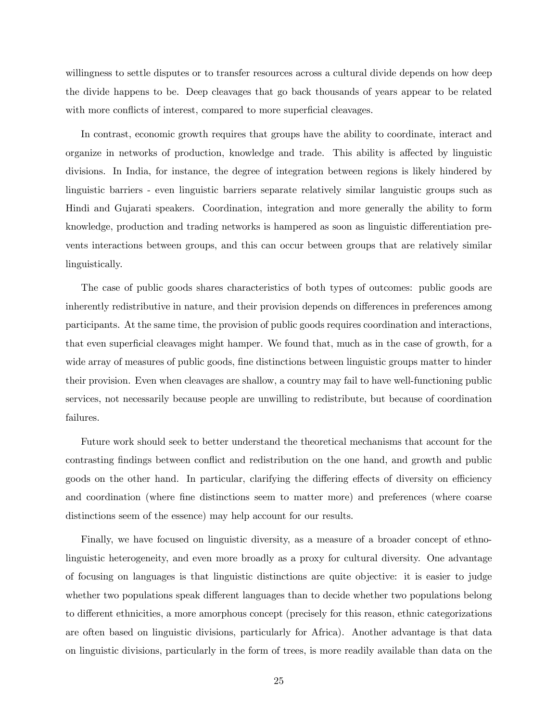willingness to settle disputes or to transfer resources across a cultural divide depends on how deep the divide happens to be. Deep cleavages that go back thousands of years appear to be related with more conflicts of interest, compared to more superficial cleavages.

In contrast, economic growth requires that groups have the ability to coordinate, interact and organize in networks of production, knowledge and trade. This ability is affected by linguistic divisions. In India, for instance, the degree of integration between regions is likely hindered by linguistic barriers - even linguistic barriers separate relatively similar languistic groups such as Hindi and Gujarati speakers. Coordination, integration and more generally the ability to form knowledge, production and trading networks is hampered as soon as linguistic differentiation prevents interactions between groups, and this can occur between groups that are relatively similar linguistically.

The case of public goods shares characteristics of both types of outcomes: public goods are inherently redistributive in nature, and their provision depends on differences in preferences among participants. At the same time, the provision of public goods requires coordination and interactions, that even superficial cleavages might hamper. We found that, much as in the case of growth, for a wide array of measures of public goods, fine distinctions between linguistic groups matter to hinder their provision. Even when cleavages are shallow, a country may fail to have well-functioning public services, not necessarily because people are unwilling to redistribute, but because of coordination failures.

Future work should seek to better understand the theoretical mechanisms that account for the contrasting findings between conflict and redistribution on the one hand, and growth and public goods on the other hand. In particular, clarifying the differing effects of diversity on efficiency and coordination (where fine distinctions seem to matter more) and preferences (where coarse distinctions seem of the essence) may help account for our results.

Finally, we have focused on linguistic diversity, as a measure of a broader concept of ethnolinguistic heterogeneity, and even more broadly as a proxy for cultural diversity. One advantage of focusing on languages is that linguistic distinctions are quite objective: it is easier to judge whether two populations speak different languages than to decide whether two populations belong to different ethnicities, a more amorphous concept (precisely for this reason, ethnic categorizations are often based on linguistic divisions, particularly for Africa). Another advantage is that data on linguistic divisions, particularly in the form of trees, is more readily available than data on the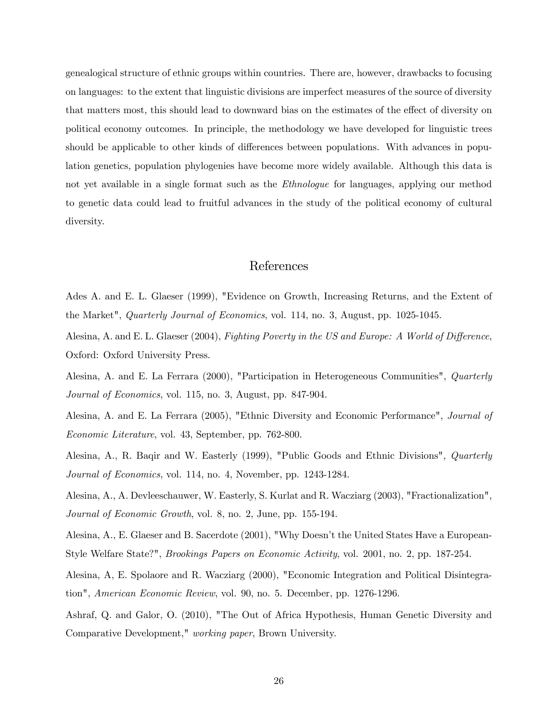genealogical structure of ethnic groups within countries. There are, however, drawbacks to focusing on languages: to the extent that linguistic divisions are imperfect measures of the source of diversity that matters most, this should lead to downward bias on the estimates of the effect of diversity on political economy outcomes. In principle, the methodology we have developed for linguistic trees should be applicable to other kinds of differences between populations. With advances in population genetics, population phylogenies have become more widely available. Although this data is not yet available in a single format such as the *Ethnologue* for languages, applying our method to genetic data could lead to fruitful advances in the study of the political economy of cultural diversity.

# References

Ades A. and E. L. Glaeser (1999), "Evidence on Growth, Increasing Returns, and the Extent of the Market", Quarterly Journal of Economics, vol. 114, no. 3, August, pp. 1025-1045.

Alesina, A. and E. L. Glaeser (2004), Fighting Poverty in the US and Europe: A World of Difference, Oxford: Oxford University Press.

Alesina, A. and E. La Ferrara (2000), "Participation in Heterogeneous Communities", Quarterly Journal of Economics, vol. 115, no. 3, August, pp. 847-904.

Alesina, A. and E. La Ferrara (2005), "Ethnic Diversity and Economic Performance", Journal of Economic Literature, vol. 43, September, pp. 762-800.

Alesina, A., R. Baqir and W. Easterly (1999), "Public Goods and Ethnic Divisions", Quarterly Journal of Economics, vol. 114, no. 4, November, pp. 1243-1284.

Alesina, A., A. Devleeschauwer, W. Easterly, S. Kurlat and R. Wacziarg (2003), "Fractionalization", Journal of Economic Growth, vol. 8, no. 2, June, pp. 155-194.

Alesina, A., E. Glaeser and B. Sacerdote (2001), "Why Doesn't the United States Have a European-Style Welfare State?", Brookings Papers on Economic Activity, vol. 2001, no. 2, pp. 187-254.

Alesina, A, E. Spolaore and R. Wacziarg (2000), "Economic Integration and Political Disintegration", American Economic Review, vol. 90, no. 5. December, pp. 1276-1296.

Ashraf, Q. and Galor, O. (2010), "The Out of Africa Hypothesis, Human Genetic Diversity and Comparative Development," working paper, Brown University.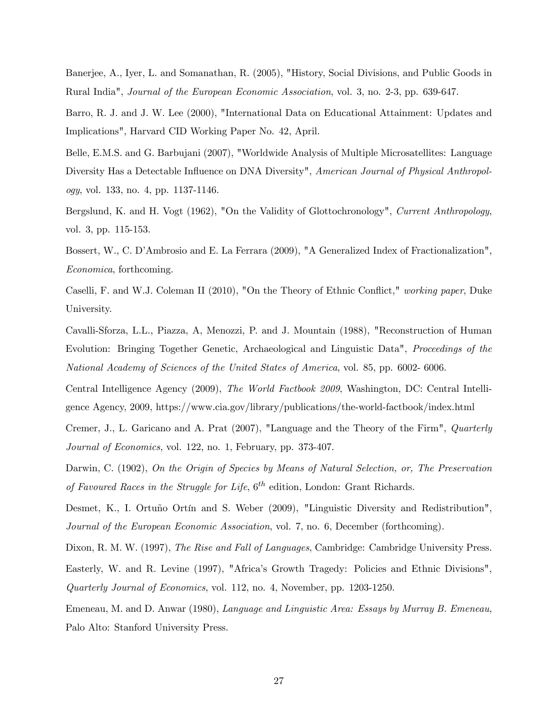Banerjee, A., Iyer, L. and Somanathan, R. (2005), "History, Social Divisions, and Public Goods in Rural India", Journal of the European Economic Association, vol. 3, no. 2-3, pp. 639-647.

Barro, R. J. and J. W. Lee (2000), "International Data on Educational Attainment: Updates and Implications", Harvard CID Working Paper No. 42, April.

Belle, E.M.S. and G. Barbujani (2007), "Worldwide Analysis of Multiple Microsatellites: Language Diversity Has a Detectable Influence on DNA Diversity", American Journal of Physical Anthropology, vol. 133, no. 4, pp. 1137-1146.

Bergslund, K. and H. Vogt (1962), "On the Validity of Glottochronology", Current Anthropology, vol. 3, pp. 115-153.

Bossert, W., C. D'Ambrosio and E. La Ferrara (2009), "A Generalized Index of Fractionalization", Economica, forthcoming.

Caselli, F. and W.J. Coleman II (2010), "On the Theory of Ethnic Conflict," working paper, Duke University.

Cavalli-Sforza, L.L., Piazza, A, Menozzi, P. and J. Mountain (1988), "Reconstruction of Human Evolution: Bringing Together Genetic, Archaeological and Linguistic Data", Proceedings of the National Academy of Sciences of the United States of America, vol. 85, pp. 6002- 6006.

Central Intelligence Agency (2009), The World Factbook 2009, Washington, DC: Central Intelligence Agency, 2009, https://www.cia.gov/library/publications/the-world-factbook/index.html

Cremer, J., L. Garicano and A. Prat (2007), "Language and the Theory of the Firm", Quarterly Journal of Economics, vol. 122, no. 1, February, pp. 373-407.

Darwin, C. (1902), On the Origin of Species by Means of Natural Selection, or, The Preservation of Favoured Races in the Struggle for Life,  $6^{th}$  edition, London: Grant Richards.

Desmet, K., I. Ortuño Ortín and S. Weber (2009), "Linguistic Diversity and Redistribution", Journal of the European Economic Association, vol. 7, no. 6, December (forthcoming).

Dixon, R. M. W. (1997), *The Rise and Fall of Languages*, Cambridge: Cambridge University Press.

Easterly, W. and R. Levine (1997), "Africa's Growth Tragedy: Policies and Ethnic Divisions", Quarterly Journal of Economics, vol. 112, no. 4, November, pp. 1203-1250.

Emeneau, M. and D. Anwar (1980), Language and Linguistic Area: Essays by Murray B. Emeneau, Palo Alto: Stanford University Press.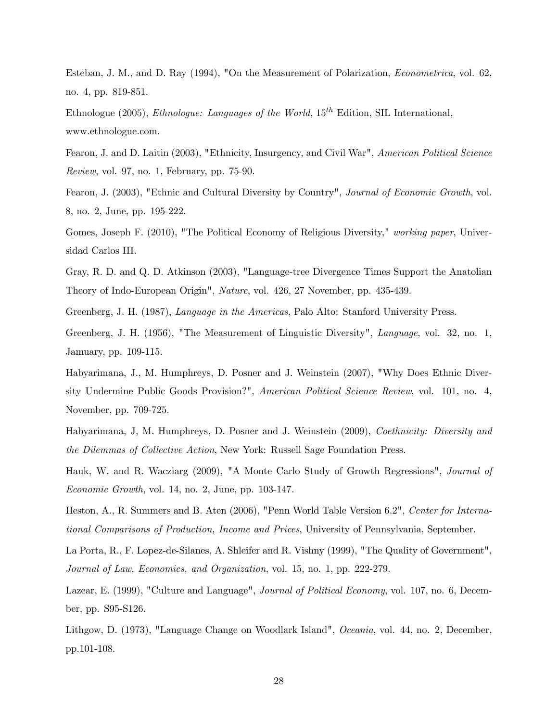Esteban, J. M., and D. Ray (1994), "On the Measurement of Polarization, Econometrica, vol. 62, no. 4, pp. 819-851.

Ethnologue (2005), *Ethnologue: Languages of the World*,  $15<sup>th</sup>$  Edition, SIL International, www.ethnologue.com.

Fearon, J. and D. Laitin (2003), "Ethnicity, Insurgency, and Civil War", American Political Science Review, vol. 97, no. 1, February, pp. 75-90.

Fearon, J. (2003), "Ethnic and Cultural Diversity by Country", Journal of Economic Growth, vol. 8, no. 2, June, pp. 195-222.

Gomes, Joseph F. (2010), "The Political Economy of Religious Diversity," working paper, Universidad Carlos III.

Gray, R. D. and Q. D. Atkinson (2003), "Language-tree Divergence Times Support the Anatolian Theory of Indo-European Origin", Nature, vol. 426, 27 November, pp. 435-439.

Greenberg, J. H. (1987), Language in the Americas, Palo Alto: Stanford University Press.

Greenberg, J. H. (1956), "The Measurement of Linguistic Diversity", Language, vol. 32, no. 1, Jamuary, pp. 109-115.

Habyarimana, J., M. Humphreys, D. Posner and J. Weinstein (2007), "Why Does Ethnic Diversity Undermine Public Goods Provision?", American Political Science Review, vol. 101, no. 4, November, pp. 709-725.

Habyarimana, J, M. Humphreys, D. Posner and J. Weinstein (2009), Coethnicity: Diversity and the Dilemmas of Collective Action, New York: Russell Sage Foundation Press.

Hauk, W. and R. Wacziarg (2009), "A Monte Carlo Study of Growth Regressions", Journal of Economic Growth, vol. 14, no. 2, June, pp. 103-147.

Heston, A., R. Summers and B. Aten (2006), "Penn World Table Version 6.2", Center for International Comparisons of Production, Income and Prices, University of Pennsylvania, September.

La Porta, R., F. Lopez-de-Silanes, A. Shleifer and R. Vishny (1999), "The Quality of Government", Journal of Law, Economics, and Organization, vol. 15, no. 1, pp. 222-279.

Lazear, E. (1999), "Culture and Language", *Journal of Political Economy*, vol. 107, no. 6, December, pp. S95-S126.

Lithgow, D. (1973), "Language Change on Woodlark Island", *Oceania*, vol. 44, no. 2, December, pp.101-108.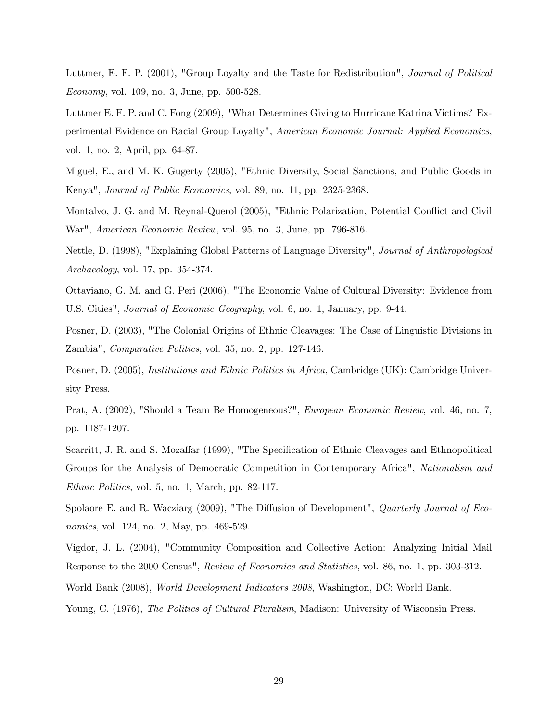Luttmer, E. F. P. (2001), "Group Loyalty and the Taste for Redistribution", Journal of Political Economy, vol. 109, no. 3, June, pp. 500-528.

Luttmer E. F. P. and C. Fong (2009), "What Determines Giving to Hurricane Katrina Victims? Experimental Evidence on Racial Group Loyalty", American Economic Journal: Applied Economics, vol. 1, no. 2, April, pp. 64-87.

Miguel, E., and M. K. Gugerty (2005), "Ethnic Diversity, Social Sanctions, and Public Goods in Kenya", Journal of Public Economics, vol. 89, no. 11, pp. 2325-2368.

Montalvo, J. G. and M. Reynal-Querol (2005), "Ethnic Polarization, Potential Conflict and Civil War", American Economic Review, vol. 95, no. 3, June, pp. 796-816.

Nettle, D. (1998), "Explaining Global Patterns of Language Diversity", Journal of Anthropological Archaeology, vol. 17, pp. 354-374.

Ottaviano, G. M. and G. Peri (2006), "The Economic Value of Cultural Diversity: Evidence from U.S. Cities", Journal of Economic Geography, vol. 6, no. 1, January, pp. 9-44.

Posner, D. (2003), "The Colonial Origins of Ethnic Cleavages: The Case of Linguistic Divisions in Zambia", Comparative Politics, vol. 35, no. 2, pp. 127-146.

Posner, D. (2005), Institutions and Ethnic Politics in Africa, Cambridge (UK): Cambridge University Press.

Prat, A. (2002), "Should a Team Be Homogeneous?", European Economic Review, vol. 46, no. 7, pp. 1187-1207.

Scarritt, J. R. and S. Mozaffar (1999), "The Specification of Ethnic Cleavages and Ethnopolitical Groups for the Analysis of Democratic Competition in Contemporary Africa", Nationalism and Ethnic Politics, vol. 5, no. 1, March, pp. 82-117.

Spolaore E. and R. Wacziarg (2009), "The Diffusion of Development", *Quarterly Journal of Eco*nomics, vol. 124, no. 2, May, pp. 469-529.

Vigdor, J. L. (2004), "Community Composition and Collective Action: Analyzing Initial Mail Response to the 2000 Census", Review of Economics and Statistics, vol. 86, no. 1, pp. 303-312.

World Bank (2008), World Development Indicators 2008, Washington, DC: World Bank.

Young, C. (1976), The Politics of Cultural Pluralism, Madison: University of Wisconsin Press.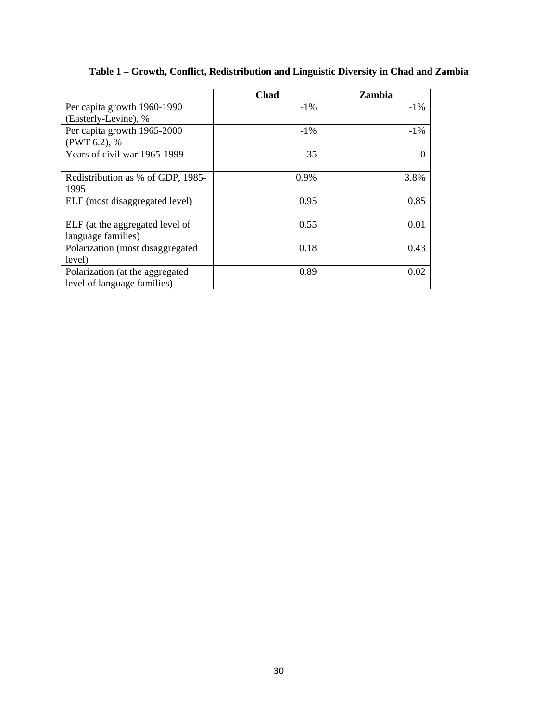|                                   | Chad   | Zambia   |
|-----------------------------------|--------|----------|
| Per capita growth 1960-1990       | $-1\%$ | $-1\%$   |
| (Easterly-Levine), %              |        |          |
| Per capita growth 1965-2000       | $-1\%$ | $-1\%$   |
| (PWT 6.2), %                      |        |          |
| Years of civil war 1965-1999      | 35     | $\Omega$ |
|                                   |        |          |
| Redistribution as % of GDP, 1985- | 0.9%   | 3.8%     |
| 1995                              |        |          |
| ELF (most disaggregated level)    | 0.95   | 0.85     |
|                                   |        |          |
| ELF (at the aggregated level of   | 0.55   | 0.01     |
| language families)                |        |          |
| Polarization (most disaggregated  | 0.18   | 0.43     |
| level)                            |        |          |
| Polarization (at the aggregated   | 0.89   | 0.02     |
| level of language families)       |        |          |

# **Table 1 – Growth, Conflict, Redistribution and Linguistic Diversity in Chad and Zambia**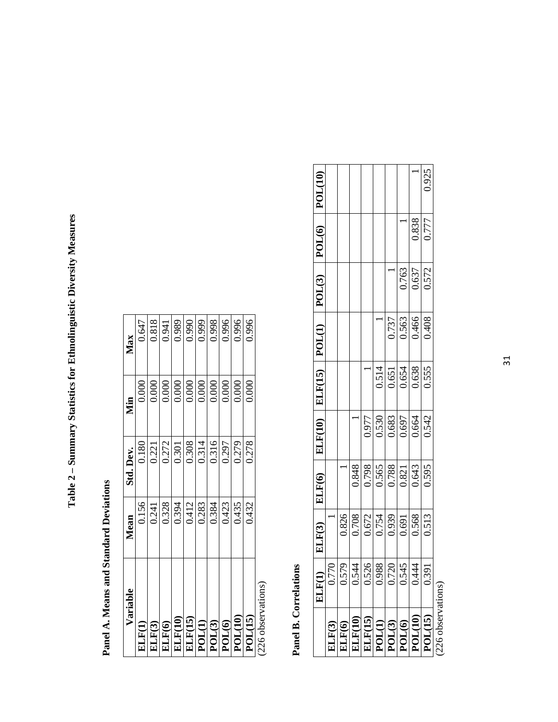# Table 2 - Summary Statistics for Ethnolinguistic Diversity Measures **Table 2 – Summary Statistics for Ethnolinguistic Diversity Measures**

| ì      |
|--------|
|        |
|        |
|        |
| I      |
|        |
| :      |
|        |
| ו<br>ו |
|        |
| ļ      |
| í      |
|        |
|        |
|        |
|        |
|        |
|        |
|        |
|        |
|        |
| s<br>S |
|        |
|        |
| ļ      |

| Variable                                                                                                                                            | Mean                  | Std. Dev.                                                                                                                                                                                                                                                                                                                                                                                                                        | Min | Max   |
|-----------------------------------------------------------------------------------------------------------------------------------------------------|-----------------------|----------------------------------------------------------------------------------------------------------------------------------------------------------------------------------------------------------------------------------------------------------------------------------------------------------------------------------------------------------------------------------------------------------------------------------|-----|-------|
| ELF(1)                                                                                                                                              |                       |                                                                                                                                                                                                                                                                                                                                                                                                                                  |     |       |
|                                                                                                                                                     | $\frac{0.156}{0.241}$ | $\frac{0.180}{0.271} \times \frac{1}{100} \times \frac{1}{100} \times \frac{1}{100} \times \frac{1}{100} \times \frac{1}{100} \times \frac{1}{100} \times \frac{1}{100} \times \frac{1}{100} \times \frac{1}{100} \times \frac{1}{100} \times \frac{1}{100} \times \frac{1}{100} \times \frac{1}{100} \times \frac{1}{100} \times \frac{1}{100} \times \frac{1}{100} \times \frac{1}{100} \times \frac{1}{100} \times \frac{1}{$ |     |       |
|                                                                                                                                                     | 0.328                 |                                                                                                                                                                                                                                                                                                                                                                                                                                  |     |       |
|                                                                                                                                                     | 0.394                 |                                                                                                                                                                                                                                                                                                                                                                                                                                  |     |       |
|                                                                                                                                                     |                       |                                                                                                                                                                                                                                                                                                                                                                                                                                  |     |       |
|                                                                                                                                                     | $\frac{0.412}{0.283}$ |                                                                                                                                                                                                                                                                                                                                                                                                                                  |     |       |
| $\frac{\frac{\text{ELF}(3)}{\text{ELF}(10)}}{\frac{\text{ELF}(10)}{\text{ELF}(15)}}{\frac{\text{ELF}(15)}{\text{ELF}(15)}}\frac{1}{\text{DLO}(3)}}$ | 0.384                 |                                                                                                                                                                                                                                                                                                                                                                                                                                  |     |       |
|                                                                                                                                                     | 0.423                 | 0.297                                                                                                                                                                                                                                                                                                                                                                                                                            |     | 0.96  |
|                                                                                                                                                     | 0.435                 | 0.279                                                                                                                                                                                                                                                                                                                                                                                                                            |     | 0.996 |
| POL(15)                                                                                                                                             | 0.432                 | 0.278                                                                                                                                                                                                                                                                                                                                                                                                                            |     |       |
| $\sim$                                                                                                                                              |                       |                                                                                                                                                                                                                                                                                                                                                                                                                                  |     |       |

(226 observations) (226 observations)

# Panel B. Correlations **Panel B. Correlations**

|                                                  | ELF(1)                | ELF(3)                                      | ELF(6)                  |                       |                                         | $ELF(10)$ $ELF(15)$ $POL(1)$ | POL(3)                | POL(6) | POL(10) |
|--------------------------------------------------|-----------------------|---------------------------------------------|-------------------------|-----------------------|-----------------------------------------|------------------------------|-----------------------|--------|---------|
| ELF(3)                                           | 0.77                  |                                             |                         |                       |                                         |                              |                       |        |         |
| ELF <sub>(6)</sub>                               |                       | 0.826                                       |                         |                       |                                         |                              |                       |        |         |
|                                                  |                       |                                             | 0.848                   |                       |                                         |                              |                       |        |         |
| ELF(19)<br>ELF(15)<br>POL(3)<br>POL(6)<br>POL(6) | $\frac{0.579}{0.541}$ | $\frac{0.708}{0.672}$ $\frac{0.754}{0.939}$ | 0.798<br>0.565<br>0.788 |                       |                                         |                              |                       |        |         |
|                                                  |                       |                                             |                         | $\frac{0.977}{0.530}$ |                                         |                              |                       |        |         |
|                                                  | 0.720                 |                                             |                         |                       | $\frac{0.514}{0.651}$<br>0.654<br>0.638 | 0.737                        |                       |        |         |
|                                                  | 0.545                 | 0.691                                       | $\frac{0.821}{0.643}$   | $\frac{0.697}{0.664}$ |                                         |                              |                       |        |         |
| POL(10)                                          | $\frac{0.444}{5}$     | 0.568                                       |                         |                       |                                         | 0.563<br>0.466               | $\frac{0.763}{0.637}$ | 0.838  |         |
| POL(15)                                          | 0.391                 | 0.513                                       | 0.595                   | 0.542                 | 0.555                                   | 0.408                        | 0.572                 | 0.777  | 0.925   |
| anotione of OC                                   |                       |                                             |                         |                       |                                         |                              |                       |        |         |

(226 observations) (226 observations)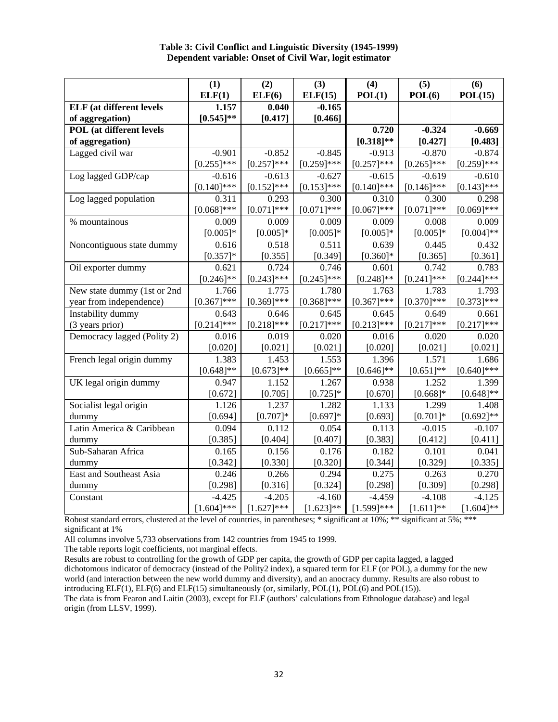|                                 | (1)           | (2)           | (3)           | (4)           | (5)           | (6)           |
|---------------------------------|---------------|---------------|---------------|---------------|---------------|---------------|
|                                 | ELF(1)        | ELF(6)        | ELF(15)       | POL(1)        | POL(6)        | POL(15)       |
| <b>ELF</b> (at different levels | 1.157         | 0.040         | $-0.165$      |               |               |               |
| of aggregation)                 | $[0.545]**$   | [0.417]       | [0.466]       |               |               |               |
| POL (at different levels        |               |               |               | 0.720         | $-0.324$      | $-0.669$      |
| of aggregation)                 |               |               |               | $[0.318]**$   | [0.427]       | [0.483]       |
| Lagged civil war                | $-0.901$      | $-0.852$      | $-0.845$      | $-0.913$      | $-0.870$      | $-0.874$      |
|                                 | $[0.255]$ *** | $[0.257]***$  | $[0.259]$ *** | $[0.257]$ *** | $[0.265]$ *** | $[0.259]$ *** |
| Log lagged GDP/cap              | $-0.616$      | $-0.613$      | $-0.627$      | $-0.615$      | $-0.619$      | $-0.610$      |
|                                 | $[0.140]$ *** | $[0.152]$ *** | $[0.153]$ *** | $[0.140]$ *** | $[0.146]$ *** | $[0.143]$ *** |
| Log lagged population           | 0.311         | 0.293         | 0.300         | 0.310         | 0.300         | 0.298         |
|                                 | $[0.068]$ *** | $[0.071]***$  | $[0.071]***$  | $[0.067]$ *** | $[0.071]$ *** | $[0.069]$ *** |
| % mountainous                   | 0.009         | 0.009         | 0.009         | 0.009         | 0.008         | 0.009         |
|                                 | $[0.005]*$    | $[0.005]*$    | $[0.005]*$    | $[0.005]*$    | $[0.005]*$    | $[0.004]$ **  |
| Noncontiguous state dummy       | 0.616         | 0.518         | 0.511         | 0.639         | 0.445         | 0.432         |
|                                 | $[0.357]$ *   | [0.355]       | [0.349]       | $[0.360]$ *   | [0.365]       | [0.361]       |
| Oil exporter dummy              | 0.621         | 0.724         | 0.746         | 0.601         | 0.742         | 0.783         |
|                                 | $[0.246]$ **  | $[0.243]***$  | $[0.245]$ *** | $[0.248]$ **  | $[0.241]$ *** | $[0.244]$ *** |
| New state dummy (1st or 2nd     | 1.766         | 1.775         | 1.780         | 1.763         | 1.783         | 1.793         |
| year from independence)         | $[0.367]$ *** | $[0.369]$ *** | $[0.368]$ *** | $[0.367]$ *** | $[0.370]$ *** | $[0.373]$ *** |
| Instability dummy               | 0.643         | 0.646         | 0.645         | 0.645         | 0.649         | 0.661         |
| (3 years prior)                 | $[0.214]$ *** | $[0.218]***$  | $[0.217]***$  | $[0.213]$ *** | $[0.217]***$  | $[0.217]***$  |
| Democracy lagged (Polity 2)     | 0.016         | 0.019         | 0.020         | 0.016         | 0.020         | 0.020         |
|                                 | [0.020]       | [0.021]       | [0.021]       | [0.020]       | [0.021]       | [0.021]       |
| French legal origin dummy       | 1.383         | 1.453         | 1.553         | 1.396         | 1.571         | 1.686         |
|                                 | $[0.648]$ **  | $[0.673]$ **  | $[0.665]$ **  | $[0.646]$ **  | $[0.651]$ **  | $[0.640]$ *** |
| UK legal origin dummy           | 0.947         | 1.152         | 1.267         | 0.938         | 1.252         | 1.399         |
|                                 | [0.672]       | [0.705]       | $[0.725]$ *   | [0.670]       | $[0.668]*$    | $[0.648]$ **  |
| Socialist legal origin          | 1.126         | 1.237         | 1.282         | 1.133         | 1.299         | 1.408         |
| dummy                           | [0.694]       | $[0.707]*$    | $[0.697]*$    | [0.693]       | $[0.701]*$    | $[0.692]$ **  |
| Latin America & Caribbean       | 0.094         | 0.112         | 0.054         | 0.113         | $-0.015$      | $-0.107$      |
| dummy                           | [0.385]       | [0.404]       | [0.407]       | [0.383]       | [0.412]       | [0.411]       |
| Sub-Saharan Africa              | 0.165         | 0.156         | 0.176         | 0.182         | 0.101         | 0.041         |
| dummy                           | [0.342]       | [0.330]       | [0.320]       | [0.344]       | [0.329]       | [0.335]       |
| East and Southeast Asia         | 0.246         | 0.266         | 0.294         | 0.275         | 0.263         | 0.270         |
| dummy                           | [0.298]       | [0.316]       | [0.324]       | [0.298]       | [0.309]       | [0.298]       |
| Constant                        | $-4.425$      | $-4.205$      | $-4.160$      | $-4.459$      | $-4.108$      | $-4.125$      |
|                                 | $[1.604]$ *** | $[1.627]***$  | $[1.623]**$   | $[1.599]$ *** | $[1.611]$ **  | $[1.604]$ **  |

## **Table 3: Civil Conflict and Linguistic Diversity (1945-1999) Dependent variable: Onset of Civil War, logit estimator**

Robust standard errors, clustered at the level of countries, in parentheses; \* significant at 10%; \*\* significant at 5%; \*\*\* significant at 1%

All columns involve 5,733 observations from 142 countries from 1945 to 1999.

The table reports logit coefficients, not marginal effects.

Results are robust to controlling for the growth of GDP per capita, the growth of GDP per capita lagged, a lagged dichotomous indicator of democracy (instead of the Polity2 index), a squared term for ELF (or POL), a dummy for the new world (and interaction between the new world dummy and diversity), and an anocracy dummy. Results are also robust to introducing ELF(1), ELF(6) and ELF(15) simultaneously (or, similarly, POL(1), POL(6) and POL(15)).

The data is from Fearon and Laitin (2003), except for ELF (authors' calculations from Ethnologue database) and legal origin (from LLSV, 1999).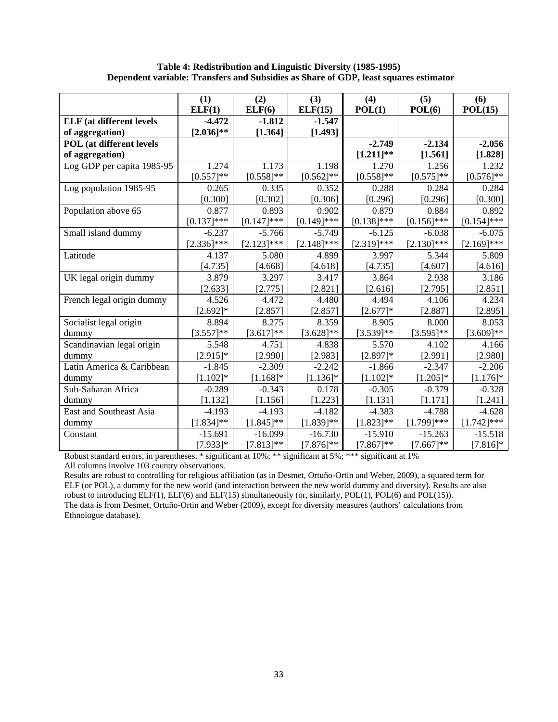| Table 4: Redistribution and Linguistic Diversity (1985-1995)                         |
|--------------------------------------------------------------------------------------|
| Dependent variable: Transfers and Subsidies as Share of GDP, least squares estimator |

|                                 | (1)            | (2)           | (3)           | (4)            | (5)            | (6)            |
|---------------------------------|----------------|---------------|---------------|----------------|----------------|----------------|
|                                 | ELF(1)         | ELF(6)        | ELF(15)       | POL(1)         | POL(6)         | POL(15)        |
| <b>ELF</b> (at different levels | $-4.472$       | $-1.812$      | $-1.547$      |                |                |                |
| of aggregation)                 | $[2.036]$ **   | [1.364]       | [1.493]       |                |                |                |
| POL (at different levels        |                |               |               | $-2.749$       | $-2.134$       | $-2.056$       |
| of aggregation)                 |                |               |               | $[1.211]$ **   | [1.561]        | [1.828]        |
| Log GDP per capita 1985-95      | 1.274          | 1.173         | 1.198         | 1.270          | 1.256          | 1.232          |
|                                 | $[0.557]$ **   | $[0.558]$ **  | $[0.562]$ **  | $[0.558]**$    | $[0.575]**$    | $[0.576]$ **   |
| Log population 1985-95          | 0.265          | 0.335         | 0.352         | 0.288          | 0.284          | 0.284          |
|                                 | [0.300]        | [0.302]       | [0.306]       | [0.296]        | [0.296]        | [0.300]        |
| Population above 65             | 0.877          | 0.893         | 0.902         | 0.879          | 0.884          | 0.892          |
|                                 | $[0.137]$ ***  | $[0.147]$ *** | $[0.149]$ *** | $[0.138]$ ***  | $[0.156]$ ***  | $[0.154]$ ***  |
| Small island dummy              | $-6.237$       | $-5.766$      | $-5.749$      | $-6.125$       | $-6.038$       | $-6.075$       |
|                                 | $[2.336]$ ***  | $[2.123]$ *** | $[2.148]$ *** | $[2.319]$ ***  | $[2.130]$ ***  | $[2.169]$ ***  |
| Latitude                        | 4.137          | 5.080         | 4.899         | 3.997          | 5.344          | 5.809          |
|                                 | [4.735]        | [4.668]       | [4.618]       | [4.735]        | [4.607]        | [4.616]        |
| UK legal origin dummy           | 3.879          | 3.297         | 3.417         | 3.864          | 2.938          | 3.186          |
|                                 | [2.633]        | [2.775]       | [2.821]       | [2.616]        | [2.795]        | [2.851]        |
| French legal origin dummy       | 4.526          | 4.472         | 4.480         | 4.494          | 4.106          | 4.234          |
|                                 | $[2.692]*$     | [2.857]       | [2.857]       | $[2.677]*$     | [2.887]        | [2.895]        |
| Socialist legal origin          | 8.894          | 8.275         | 8.359         | 8.905          | 8.000          | 8.053          |
| dummy                           | $[3.557]^{**}$ | $[3.617]**$   | $[3.628]$ **  | $[3.539]^{**}$ | $[3.595]^{**}$ | $[3.609]^{**}$ |
| Scandinavian legal origin       | 5.548          | 4.751         | 4.838         | 5.570          | 4.102          | 4.166          |
| dummy                           | $[2.915]*$     | [2.990]       | [2.983]       | $[2.897]$ *    | [2.991]        | [2.980]        |
| Latin America & Caribbean       | $-1.845$       | $-2.309$      | $-2.242$      | $-1.866$       | $-2.347$       | $-2.206$       |
| dummy                           | $[1.102]*$     | $[1.168]$ *   | $[1.136]$ *   | $[1.102]*$     | $[1.205]*$     | $[1.176]$ *    |
| Sub-Saharan Africa              | $-0.289$       | $-0.343$      | 0.178         | $-0.305$       | $-0.379$       | $-0.328$       |
| dummy                           | [1.132]        | [1.156]       | [1.223]       | [1.131]        | [1.171]        | [1.241]        |
| East and Southeast Asia         | $-4.193$       | $-4.193$      | $-4.182$      | $-4.383$       | $-4.788$       | $-4.628$       |
| dummy                           | $[1.834]$ **   | $[1.845]$ **  | $[1.839]$ **  | $[1.823]**$    | $[1.799]$ ***  | $[1.742]$ ***  |
| Constant                        | $-15.691$      | $-16.099$     | $-16.730$     | $-15.910$      | $-15.263$      | $-15.518$      |
|                                 | $[7.933]$ *    | $[7.813]**$   | $[7.876]$ **  | $[7.867]$ **   | $[7.667]$ **   | $[7.816]$ *    |

Robust standard errors, in parentheses. \* significant at 10%; \*\* significant at 5%; \*\*\* significant at 1% All columns involve 103 country observations.

Results are robust to controlling for religious affiliation (as in Desmet, Ortuño-Ortin and Weber, 2009), a squared term for ELF (or POL), a dummy for the new world (and interaction between the new world dummy and diversity). Results are also robust to introducing ELF(1), ELF(6) and ELF(15) simultaneously (or, similarly, POL(1), POL(6) and POL(15)). The data is from Desmet, Ortuño-Ortin and Weber (2009), except for diversity measures (authors' calculations from Ethnologue database).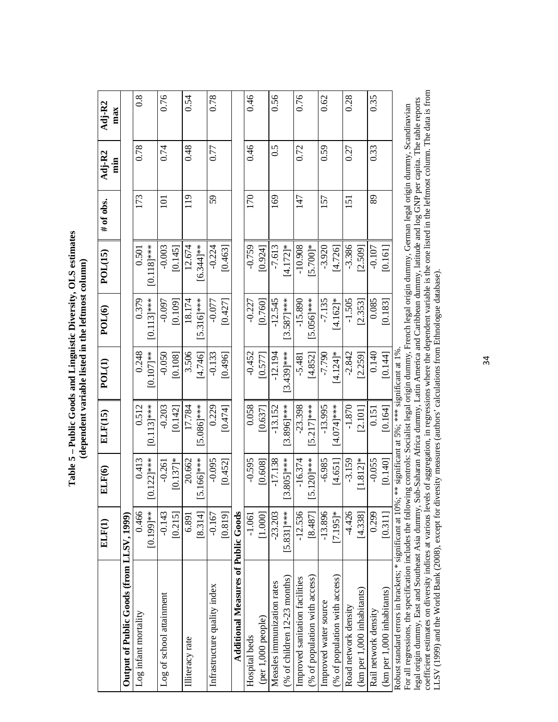Table 5 - Public Goods and Linguistic Diversity, OLS estimates **Table 5 – Public Goods and Linguistic Diversity, OLS estimates**  (dependent variable listed in the leftmost column) **(dependent variable listed in the leftmost column)**

|                                                          | ELF(1)        | ELF(6)            | ELF(15)                                  | POL(1)                 | POL(6)               | POL(15)      | $#$ of obs. | Adj-R2 | Adj-R2           |
|----------------------------------------------------------|---------------|-------------------|------------------------------------------|------------------------|----------------------|--------------|-------------|--------|------------------|
|                                                          |               |                   |                                          |                        |                      |              |             | min    | max              |
| Output of Public Goods (from LLSV, 1999)                 |               |                   |                                          |                        |                      |              |             |        |                  |
| Log infant mortality                                     | 0.466         | 0.413             | 0.512                                    | 0.248                  | 0.379                | 0.501        | 173         | 0.78   | $0.\overline{8}$ |
|                                                          | $[0.199]$ **  | $[0.122]$ ***     | $[0.113]$ ***                            | $0.107$ <sup>**</sup>  | $0.113]***$          | $0.118$ ]*** |             |        |                  |
| Log of school attainment                                 | $-0.143$      | $-0.261$          | $-0.203$                                 | $-0.050$               | -0.097               | $-0.003$     | 101         | 0.74   | 0.76             |
|                                                          | [0.215]       | $[0.137]$ *       | [0.142]                                  | [0.108]                | [0.109]              | [0.145]      |             |        |                  |
| Iliteracy rate                                           | 6.891         | 20.662            | 17.784                                   | 3.506                  | 18.174               | 12.674       | 119         | 0.48   | 0.54             |
|                                                          | [8.314]       | $[5.166]***$      | $5.086$ ]***                             | [4.746]                | $[5.316]***$         | $[6.344]$ ** |             |        |                  |
| Infrastructure quality index                             | $-0.167$      | $-0.095$          | 0.229                                    | $-0.133$               | $-0.077$             | $-0.224$     | 59          | 0.77   | 0.78             |
|                                                          | [0.819]       | [0.452]           | [0.474]                                  | [0.496]                | [0.427]              | [0.463]      |             |        |                  |
| <b>Additional Measures of Public Goods</b>               |               |                   |                                          |                        |                      |              |             |        |                  |
| Hospital beds                                            | $-1.061$      | $-0.595$          | 0.058                                    | $-0.452$               | $-0.227$             | $-0.759$     | 170         | 0.46   | 0.46             |
| (per 1,000 people)                                       | [1.000]       | [0.608]           | [0.637]                                  | [0.577]                | [0.760]              | [0.924]      |             |        |                  |
| Measles immunization rates                               | $-23.203$     | $-17.138$         | $-13.152$                                | $-12.194$              | $-12.545$            | $-7.613$     | 169         | 0.5    | 0.56             |
| $(% of children 12-23 months)$                           | $[5.831]$ *** | $3.805$ ]***      | 3.896]***                                | $3.439$ <sup>***</sup> | $3.587$ ]***         | $4.172*$     |             |        |                  |
| Improved sanitation facilities                           | $-12.536$     | $-16.374$         | $-23.398$                                | $-5.481$               | $-15.890$            | $-10.908$    | 147         | 0.72   | 0.76             |
| (% of population with access)                            | [8.487]       | 5.1201***         | $[5.217]$ ***                            | [4.852]                | 5.056]***            | $5.700]$ *   |             |        |                  |
| Improved water source                                    | $-13.896$     | $-6.985$          | $-13.995$                                | $-7.790$               | $-7.135$             | $-3.920$     | 157         | 0.59   | 0.62             |
| (% of population with access)                            | $[7.195]$ *   | [4.651]           | $[4.074]***$                             | $4.124$ <sup>*</sup>   | $4.162$ <sup>*</sup> | [4.726]      |             |        |                  |
| Road network density                                     | $-4.426$      | $-3.159$          | $-1.870$                                 | $-2.842$               | $-1.505$             | $-3.386$     | 151         | 0.27   | 0.28             |
| (km per 1,000 inhabitants)                               | [4.338]       | $1.812*$          | [2.101]                                  | [2.259]                | [2.353]              | [2.509]      |             |        |                  |
| Rail network density                                     | 0.299         | $-0.055$          | 0.151                                    | 0.140                  | 0.085                | $-0.107$     | 89          | 0.33   | 0.35             |
| (km per 1,000 inhabitants)                               | [0.311]       | [0.140]           | [0.164]                                  | [0.144]                | [0.183]              | $[0.161]$    |             |        |                  |
| Robust standard errors in brackets; * significant at 10% |               | $\stackrel{*}{*}$ | significant at 5%; *** significant at 1% |                        |                      |              |             |        |                  |

For all regressions, the specification includes the following controls: Socialist legal origin dummy, French legal origin dummy, German legal origin dummy, Scandinavian<br>legal origin dummy, East and Southeast Asia dummy, Su coefficient estimates on diversity indices at various levels of aggregation, in regressions where the dependent variable is the one listed in the leftmost column. The data is from legal origin dummy, East and Southeast Asia dummy, Sub-Saharan Africa dummy, Latin America and Caribbean dummy, latitude and log GNP per capita. The table reports For all regressions, the specification includes the following controls: Socialist legal origin dummy, French legal origin dummy, German legal origin dummy, Scandinavian LLSV (1999) and the World Bank (2008), except for diversity measures (authors' calculations from Ethnologue database).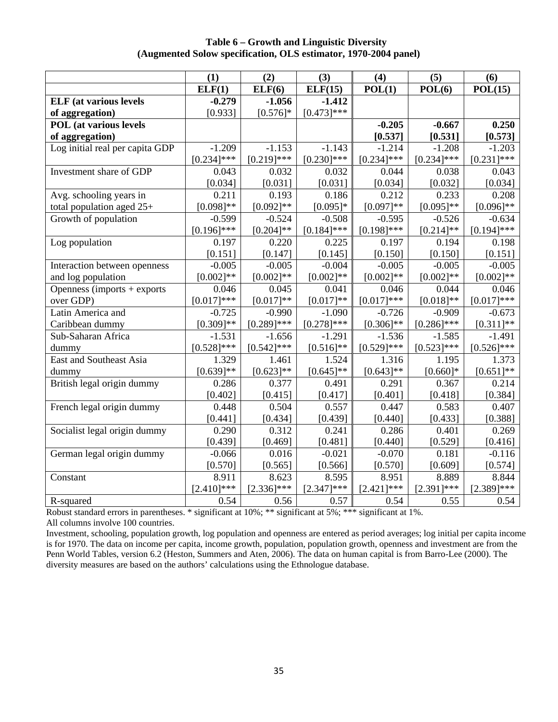| Table 6 – Growth and Linguistic Diversity                       |  |  |
|-----------------------------------------------------------------|--|--|
| (Augmented Solow specification, OLS estimator, 1970-2004 panel) |  |  |

|                                 | (1)           | (2)           | (3)            | (4)           | (5)           | (6)           |
|---------------------------------|---------------|---------------|----------------|---------------|---------------|---------------|
|                                 | ELF(1)        | ELF(6)        | ELF(15)        | POL(1)        | POL(6)        | POL(15)       |
| <b>ELF</b> (at various levels   | $-0.279$      | $-1.056$      | $-1.412$       |               |               |               |
| of aggregation)                 | [0.933]       | $[0.576]$ *   | $[0.473]$ ***  |               |               |               |
| POL (at various levels          |               |               |                | $-0.205$      | $-0.667$      | 0.250         |
| of aggregation)                 |               |               |                | [0.537]       | [0.531]       | [0.573]       |
| Log initial real per capita GDP | $-1.209$      | $-1.153$      | $-1.143$       | $-1.214$      | $-1.208$      | $-1.203$      |
|                                 | $[0.234]$ *** | $[0.219]$ *** | $[0.230]$ ***  | $[0.234]$ *** | $[0.234]$ *** | $[0.231]$ *** |
| Investment share of GDP         | 0.043         | 0.032         | 0.032          | 0.044         | 0.038         | 0.043         |
|                                 | [0.034]       | [0.031]       | [0.031]        | [0.034]       | [0.032]       | [0.034]       |
| Avg. schooling years in         | 0.211         | 0.193         | 0.186          | 0.212         | 0.233         | 0.208         |
| total population aged $25+$     | $[0.098]$ **  | $[0.092]$ **  | $[0.095]*$     | $[0.097]**$   | $[0.095]$ **  | $[0.096]$ **  |
| Growth of population            | $-0.599$      | $-0.524$      | $-0.508$       | $-0.595$      | $-0.526$      | $-0.634$      |
|                                 | $[0.196]$ *** | $[0.204]$ **  | $[0.184]$ ***  | $[0.198]$ *** | $[0.214]$ **  | $[0.194]$ *** |
| Log population                  | 0.197         | 0.220         | 0.225          | 0.197         | 0.194         | 0.198         |
|                                 | [0.151]       | [0.147]       | [0.145]        | [0.150]       | [0.150]       | [0.151]       |
| Interaction between openness    | $-0.005$      | $-0.005$      | $-0.004$       | $-0.005$      | $-0.005$      | $-0.005$      |
| and log population              | $[0.002]$ **  | $[0.002]$ **  | $[0.002]$ **   | $[0.002]$ **  | $[0.002]$ **  | $[0.002]$ **  |
| Openness (imports $+$ exports   | 0.046         | 0.045         | 0.041          | 0.046         | 0.044         | 0.046         |
| over GDP)                       | $[0.017]***$  | $[0.017]**$   | $[0.017]**$    | $[0.017]***$  | $[0.018]**$   | $[0.017]***$  |
| Latin America and               | $-0.725$      | $-0.990$      | $-1.090$       | $-0.726$      | $-0.909$      | $-0.673$      |
| Caribbean dummy                 | $[0.309]$ **  | $[0.289]$ *** | $[0.278]$ ***  | $[0.306]$ **  | $[0.286]$ *** | $[0.311]$ **  |
| Sub-Saharan Africa              | $-1.531$      | $-1.656$      | $-1.291$       | $-1.536$      | $-1.585$      | $-1.491$      |
| dummy                           | $[0.528]$ *** | $[0.542]$ *** | $[0.516]^{**}$ | $[0.529]$ *** | $[0.523]$ *** | $[0.526]$ *** |
| <b>East and Southeast Asia</b>  | 1.329         | 1.461         | 1.524          | 1.316         | 1.195         | 1.373         |
| dummy                           | $[0.639]$ **  | $[0.623]$ **  | $[0.645]$ **   | $[0.643]$ **  | $[0.660]*$    | $[0.651]$ **  |
| British legal origin dummy      | 0.286         | 0.377         | 0.491          | 0.291         | 0.367         | 0.214         |
|                                 | [0.402]       | [0.415]       | [0.417]        | [0.401]       | [0.418]       | [0.384]       |
| French legal origin dummy       | 0.448         | 0.504         | 0.557          | 0.447         | 0.583         | 0.407         |
|                                 | [0.441]       | [0.434]       | [0.439]        | [0.440]       | [0.433]       | [0.388]       |
| Socialist legal origin dummy    | 0.290         | 0.312         | 0.241          | 0.286         | 0.401         | 0.269         |
|                                 | [0.439]       | [0.469]       | [0.481]        | [0.440]       | [0.529]       | [0.416]       |
| German legal origin dummy       | $-0.066$      | 0.016         | $-0.021$       | $-0.070$      | 0.181         | $-0.116$      |
|                                 | [0.570]       | [0.565]       | [0.566]        | [0.570]       | [0.609]       | [0.574]       |
| Constant                        | 8.911         | 8.623         | 8.595          | 8.951         | 8.889         | 8.844         |
|                                 | $[2.410]$ *** | $[2.336]$ *** | $[2.347]$ ***  | $[2.421]$ *** | $[2.391]$ *** | $[2.389]$ *** |
| R-squared                       | 0.54          | 0.56          | 0.57           | 0.54          | 0.55          | 0.54          |

Robust standard errors in parentheses. \* significant at 10%; \*\* significant at 5%; \*\*\* significant at 1%. All columns involve 100 countries.

Investment, schooling, population growth, log population and openness are entered as period averages; log initial per capita income is for 1970. The data on income per capita, income growth, population, population growth, openness and investment are from the Penn World Tables, version 6.2 (Heston, Summers and Aten, 2006). The data on human capital is from Barro-Lee (2000). The diversity measures are based on the authors' calculations using the Ethnologue database.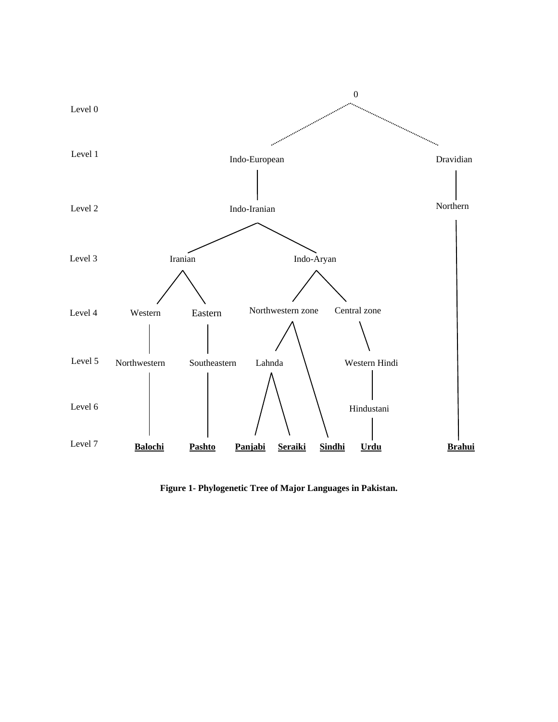

**Figure 1- Phylogenetic Tree of Major Languages in Pakistan.**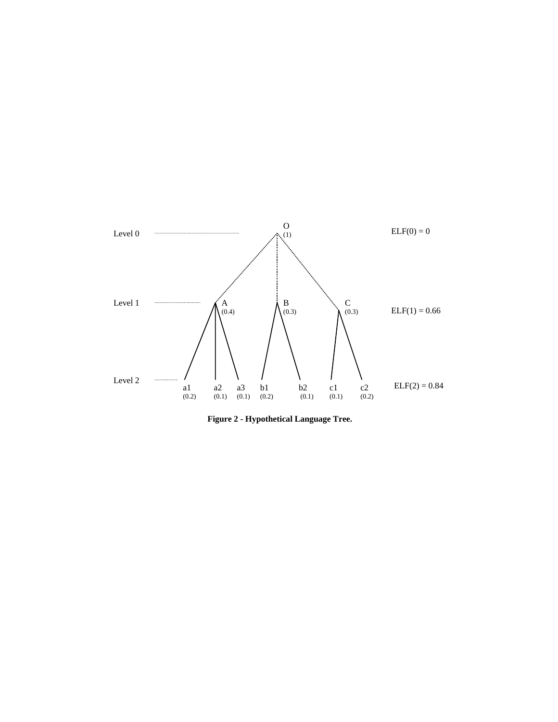

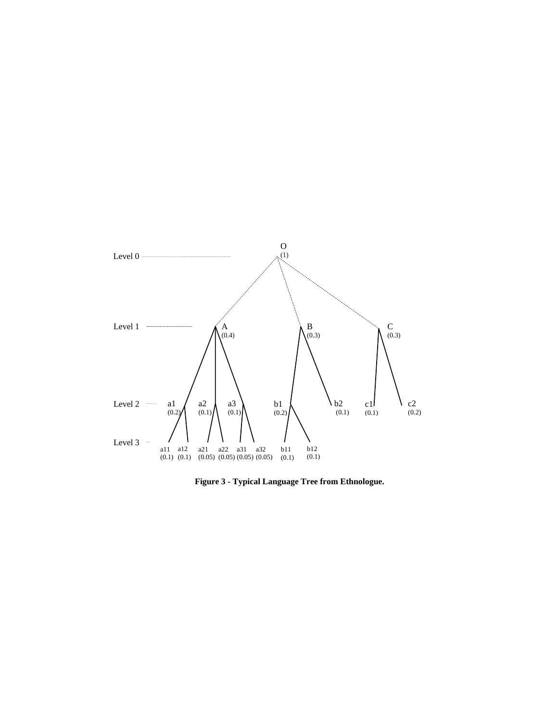

**Figure 3 - Typical Language Tree from Ethnologue.**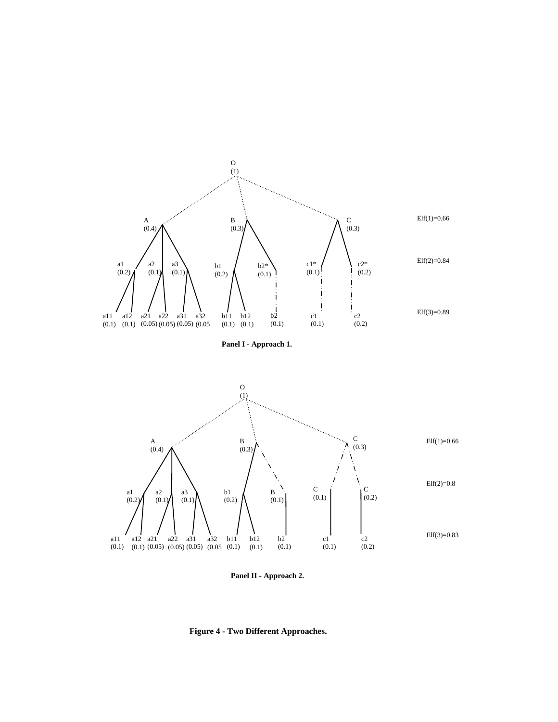

**Panel II - Approach 2.** 

**Figure 4 - Two Different Approaches.**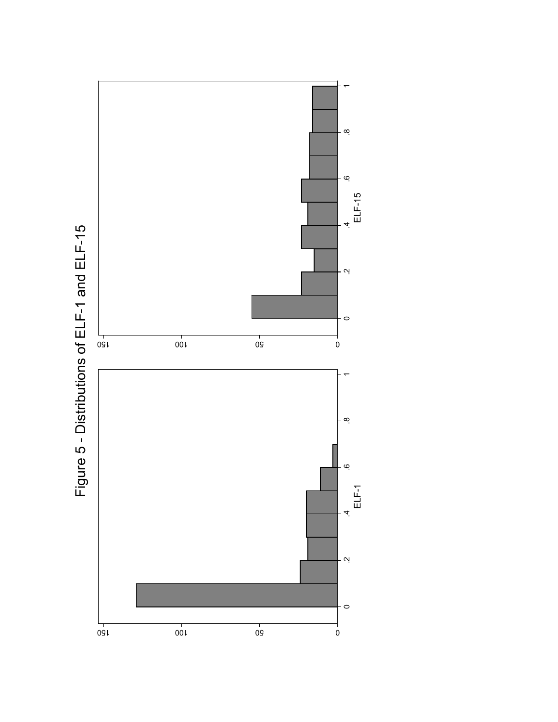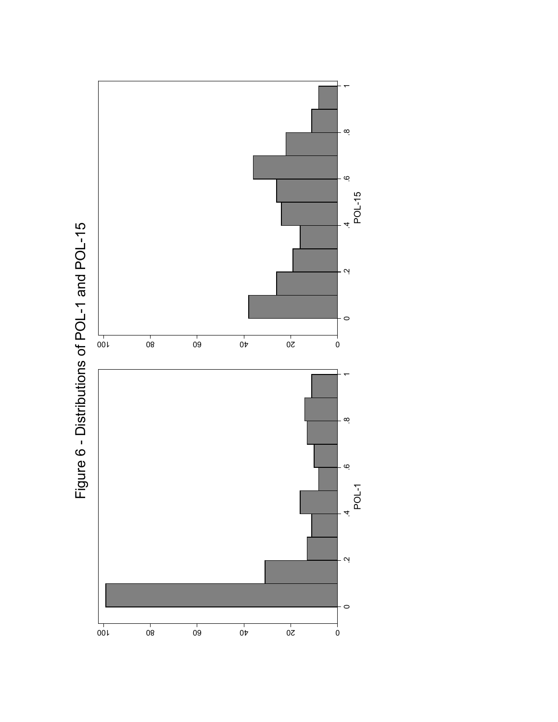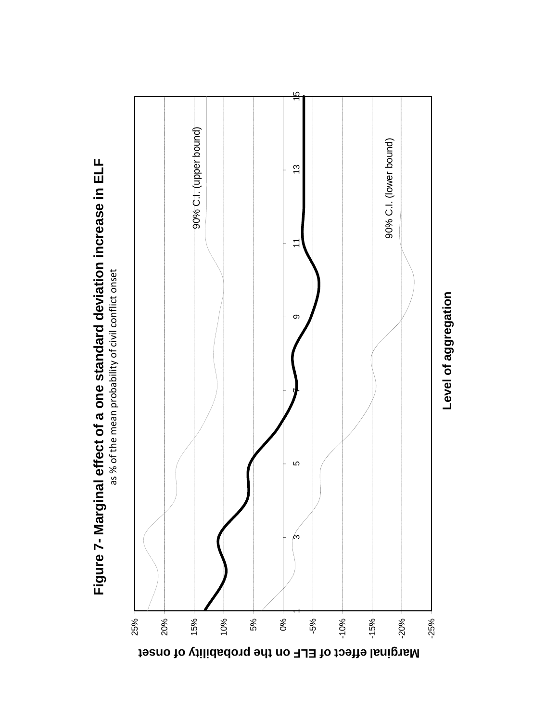Figure 7- Marginal effect of a one standard deviation increase in ELF **Figure 7- Marginal effect of a one standard deviation increase in ELF** of the mean probability of civil conflict onset %ვ<br>თ



Level of aggregation **Level of aggregation**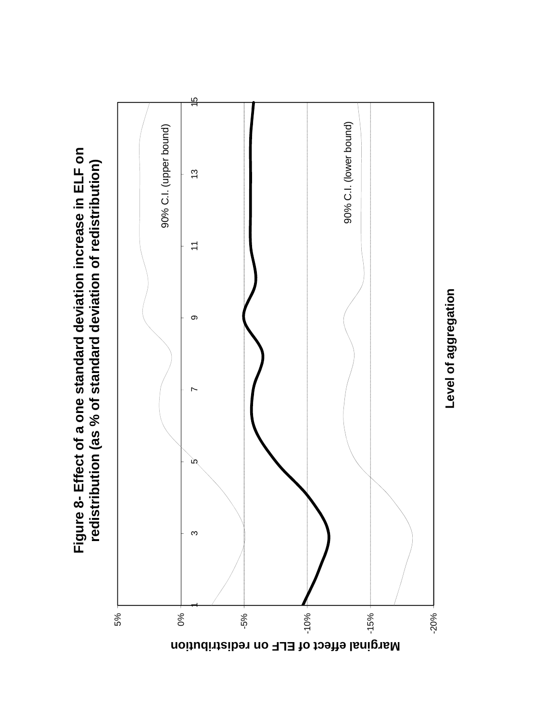Figure 8- Effect of a one standard deviation increase in ELF on **Figure 8- Effect of a one standard deviation increase in ELF on** redistribution (as % of standard deviation of redistribution) **redistribution (as % of standard deviation of redistribution)**

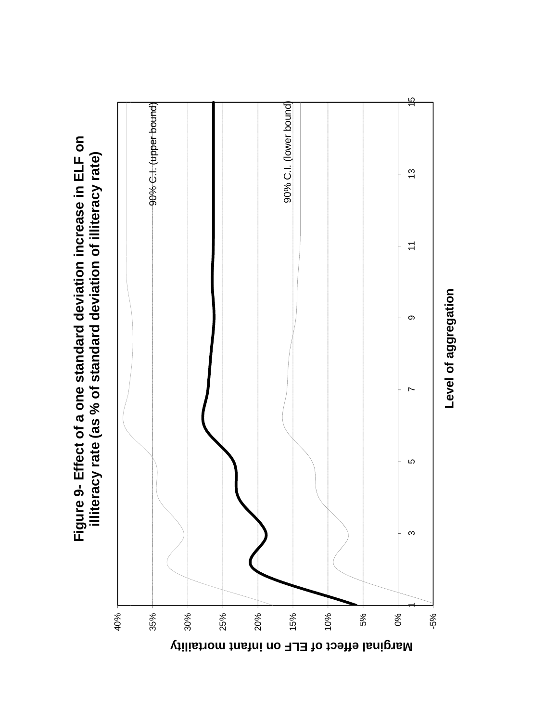Figure 9- Effect of a one standard deviation increase in ELF on **Figure 9- Effect of a one standard deviation increase in ELF on** illiteracy rate (as % of standard deviation of illiteracy rate) **illiteracy rate (as % of standard deviation of illiteracy rate)**



Level of aggregation **Level of aggregation**